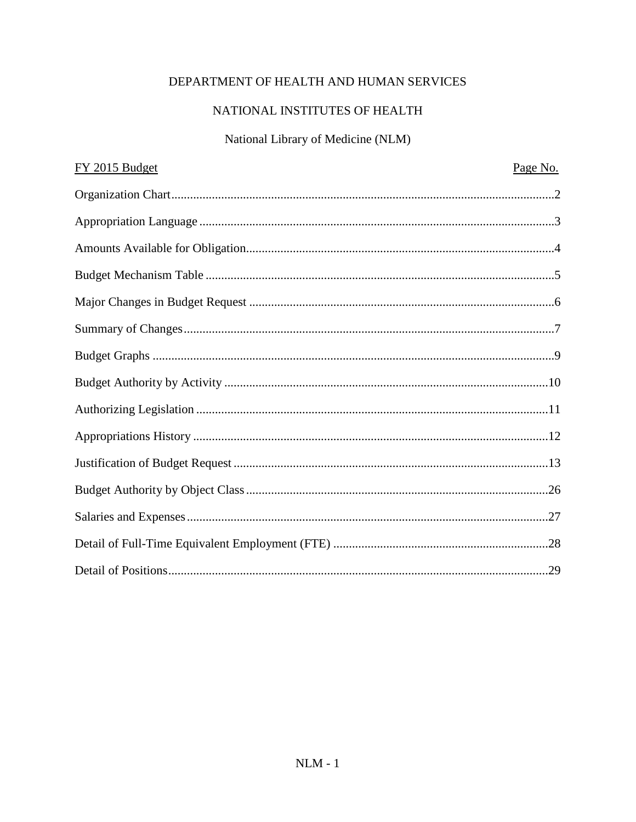# DEPARTMENT OF HEALTH AND HUMAN SERVICES

# NATIONAL INSTITUTES OF HEALTH

# National Library of Medicine (NLM)

| FY 2015 Budget | Page No. |
|----------------|----------|
|                |          |
|                |          |
|                |          |
|                |          |
|                |          |
|                |          |
|                |          |
|                |          |
|                |          |
|                |          |
|                |          |
|                |          |
|                |          |
|                |          |
|                |          |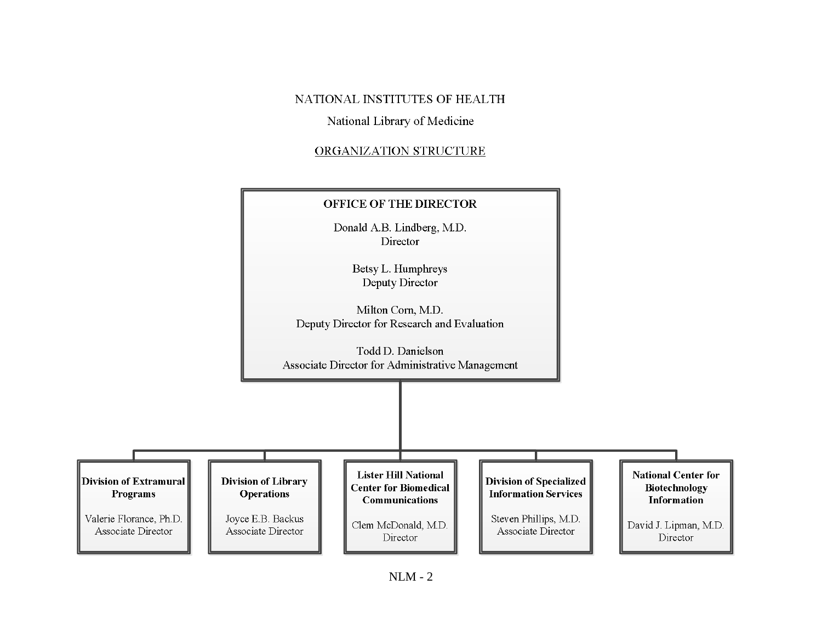### NATIONAL INSTITUTES OF HEALTH

### National Library of Medicine

### ORGANIZATION STRUCTURE

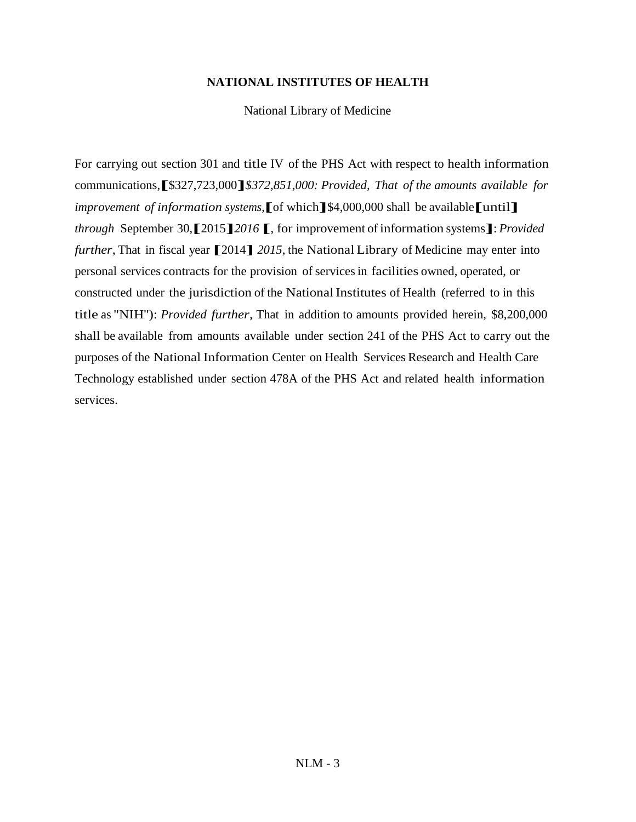### **NATIONAL INSTITUTES OF HEALTH**

National Library of Medicine

For carrying out section 301 and title IV of the PHS Act with respect to health information communications,**[**\$327,723,000**]***\$372,851,000: Provided, That of the amounts available for improvement of information systems,***[**of which**]**\$4,000,000 shall be available**[**until**]** *through* September 30,**[**2015**]***<sup>2016</sup>* **[**, for improvement of information systems**]**: *Provided further*, That in fiscal year **[**2014**]** *<sup>2015</sup>*, the National Library of Medicine may enter into personal services contracts for the provision of servicesin facilities owned, operated, or constructed under the jurisdiction of the NationalInstitutes of Health (referred to in this title as "NIH''): *Provided further*, That in addition to amounts provided herein, \$8,200,000 shall be available from amounts available under section 241 of the PHS Act to carry out the purposes of the National Information Center on Health Services Research and Health Care Technology established under section 478A of the PHS Act and related health information services.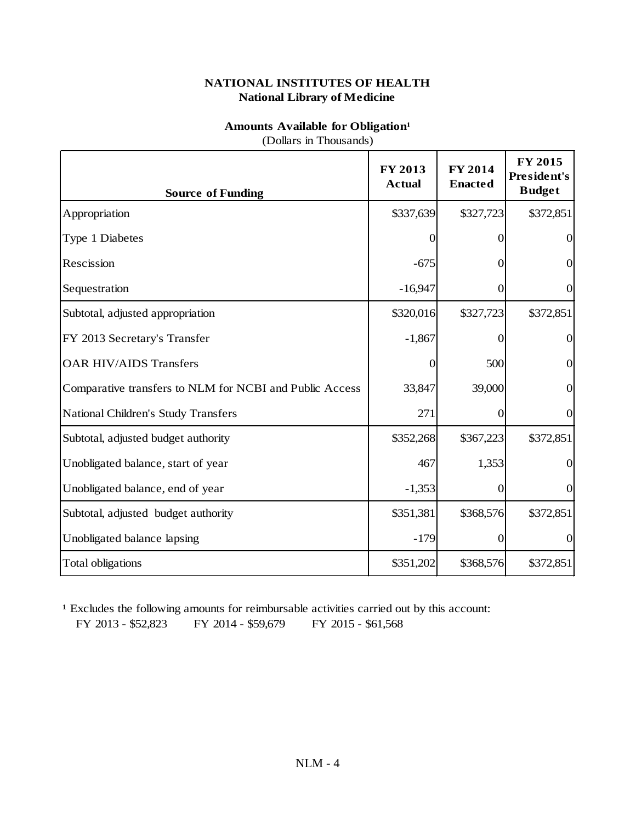### **Amounts Available for Obligation<sup>1</sup>**

(Dollars in Thousands)

| <b>Source of Funding</b>                                | FY 2013<br><b>Actual</b> | <b>FY 2014</b><br><b>Enacted</b> | FY 2015<br>President's<br><b>Budget</b> |
|---------------------------------------------------------|--------------------------|----------------------------------|-----------------------------------------|
| Appropriation                                           | \$337,639                | \$327,723                        | \$372,851                               |
| Type 1 Diabetes                                         | 0                        | 0                                | $\overline{0}$                          |
| Rescission                                              | $-675$                   | $\mathbf{\Omega}$                | $\overline{0}$                          |
| Sequestration                                           | $-16,947$                | $\overline{0}$                   | $\overline{0}$                          |
| Subtotal, adjusted appropriation                        | \$320,016                | \$327,723                        | \$372,851                               |
| FY 2013 Secretary's Transfer                            | $-1,867$                 |                                  | $\Omega$                                |
| <b>OAR HIV/AIDS Transfers</b>                           | 0                        | 500                              | $\overline{0}$                          |
| Comparative transfers to NLM for NCBI and Public Access | 33,847                   | 39,000                           | $\overline{0}$                          |
| National Children's Study Transfers                     | 271                      | $\overline{0}$                   | $\boldsymbol{0}$                        |
| Subtotal, adjusted budget authority                     | \$352,268                | \$367,223                        | \$372,851                               |
| Unobligated balance, start of year                      | 467                      | 1,353                            | $\overline{0}$                          |
| Unobligated balance, end of year                        | $-1,353$                 | $\boldsymbol{0}$                 | $\overline{0}$                          |
| Subtotal, adjusted budget authority                     | \$351,381                | \$368,576                        | \$372,851                               |
| Unobligated balance lapsing                             | $-179$                   | $\Omega$                         | $\Omega$                                |
| <b>Total obligations</b>                                | \$351,202                | \$368,576                        | \$372,851                               |

<sup>1</sup> Excludes the following amounts for reimbursable activities carried out by this account: FY 2013 - \$52,823 FY 2014 - \$59,679 FY 2015 - \$61,568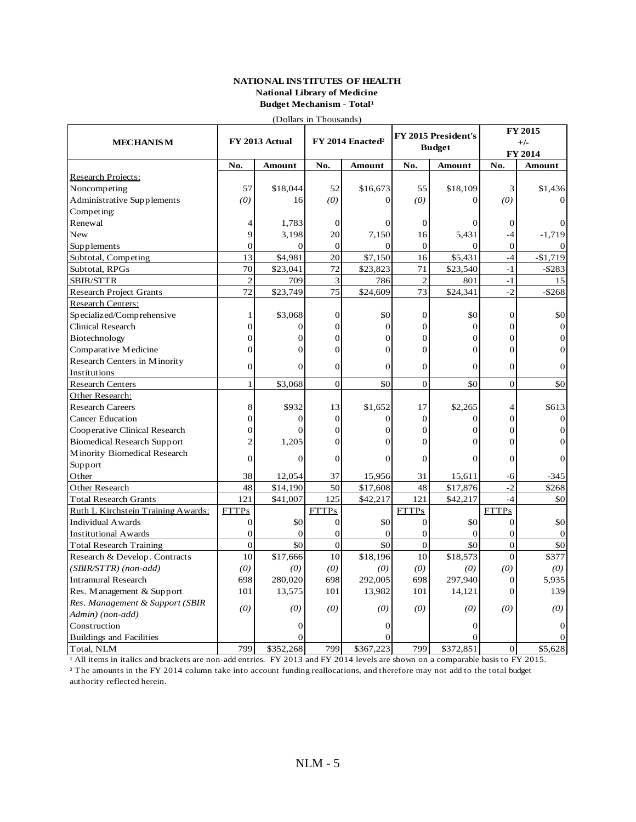#### **NATIONAL INSTITUTES OF HEALTH National Library of Medicine Budget Mechanism - Total<sup>1</sup>**

(Dollars in Thousands)

|                                    |                |                |                  | FY 2015 President's          |                  | FY 2015        |                  |                   |
|------------------------------------|----------------|----------------|------------------|------------------------------|------------------|----------------|------------------|-------------------|
| <b>MECHANISM</b>                   |                | FY 2013 Actual |                  | FY 2014 Enacted <sup>2</sup> |                  | <b>Budget</b>  |                  | $+/-$             |
|                                    | No.            | Amount         | No.              | Amount                       | No.              | Amount         |                  | FY 2014<br>Amount |
| <b>Research Projects:</b>          |                |                |                  |                              |                  |                | No.              |                   |
| Noncompeting                       | 57             | \$18,044       | 52               | \$16,673                     | 55               | \$18,109       | 3                | \$1,436           |
| Administrative Supplements         | (0)            | 16             | (0)              | $\Omega$                     | (0)              | $\Omega$       | (0)              |                   |
| Competing:                         |                |                |                  |                              |                  |                |                  |                   |
| Renewal                            |                | 1,783          | $\overline{0}$   | 0                            | $\overline{0}$   |                | $\boldsymbol{0}$ |                   |
| New                                | 9              | 3,198          | 20               | 7,150                        | 16               | 5,431          | $-4$             | $-1,719$          |
| Supplements                        | $\theta$       | $\Omega$       | $\boldsymbol{0}$ | $\Omega$                     | $\boldsymbol{0}$ | $\Omega$       | $\mathbf{0}$     |                   |
|                                    | 13             | \$4,981        | 20               | \$7,150                      | 16               | \$5,431        | $-4$             | $-$1,719$         |
| Subtotal, Competing                | 70             | \$23,041       | 72               |                              | 71               | \$23,540       | $-1$             |                   |
| Subtotal, RPGs                     |                | 709            |                  | \$23,823                     |                  |                | $-1$             | $-$ \$283<br>15   |
| SBIR/STTR                          | $\overline{2}$ |                | 3                | 786                          | $\overline{2}$   | 801            |                  |                   |
| <b>Research Project Grants</b>     | 72             | \$23,749       | 75               | \$24,609                     | 73               | \$24,341       | $-2$             | $-$ \$268         |
| Research Centers:                  |                |                |                  |                              |                  |                |                  |                   |
| Specialized/Comprehensive          | 1              | \$3,068        | $\mathbf{0}$     | \$0                          | $\boldsymbol{0}$ | \$0            | $\mathbf{0}$     | \$0               |
| <b>Clinical Research</b>           | $\Omega$       | $\mathbf{0}$   | $\Omega$         | $\mathbf{0}$                 | $\mathbf{0}$     | $\overline{0}$ | $\overline{0}$   | $\mathbf{0}$      |
| Biotechnology                      | $\Omega$       | $\Omega$       | $\Omega$         | $\Omega$                     | $\theta$         | $\Omega$       | $\overline{0}$   | $\Omega$          |
| Comparative Medicine               | $\Omega$       | $\mathbf{0}$   | $\Omega$         | $\mathbf{0}$                 | $\mathbf{0}$     | $\overline{0}$ | $\overline{0}$   | $\overline{0}$    |
| Research Centers in Minority       | $\mathbf{0}$   | $\Omega$       | $\overline{0}$   | $\mathbf{0}$                 | $\overline{0}$   | $\Omega$       | $\mathbf{0}$     | 0                 |
| Institutions                       |                |                |                  |                              |                  |                |                  |                   |
| Research Centers                   | $\mathbf{1}$   | \$3,068        | $\Omega$         | \$0                          | $\Omega$         | \$0            | $\theta$         | \$0               |
| Other Research:                    |                |                |                  |                              |                  |                |                  |                   |
| <b>Research Careers</b>            | 8              | \$932          | 13               | \$1,652                      | 17               | \$2,265        | $\overline{4}$   | \$613             |
| <b>Cancer Education</b>            | $\Omega$       | $\Omega$       | $\overline{0}$   | $\mathbf{0}$                 | $\overline{0}$   | $\overline{0}$ | $\overline{0}$   | $\mathbf{0}$      |
| Cooperative Clinical Research      | $\Omega$       | $\Omega$       | $\theta$         | $\Omega$                     | $\theta$         | $\Omega$       | $\theta$         | $\Omega$          |
| <b>Biomedical Research Support</b> | $\overline{c}$ | 1,205          | $\Omega$         | $\Omega$                     | $\Omega$         | $\Omega$       | $\theta$         | 0                 |
| Minority Biomedical Research       |                |                |                  |                              |                  |                |                  |                   |
| Support                            | $\Omega$       | $\Omega$       | $\Omega$         | $\Omega$                     | $\Omega$         | $\Omega$       | $\theta$         |                   |
| Other                              | 38             | 12,054         | 37               | 15,956                       | 31               | 15,611         | -6               | -345              |
| Other Research                     | 48             | \$14,190       | 50               | \$17,608                     | 48               | \$17,876       | $-2$             | \$268             |
| <b>Total Research Grants</b>       | 121            | \$41,007       | 125              | \$42,217                     | 121              | \$42,217       | $-4$             | \$0               |
| Ruth L Kirchstein Training Awards: | <b>FTTPs</b>   |                | <b>FTTPs</b>     |                              | <b>FTTPs</b>     |                | <b>FTTPs</b>     |                   |
| <b>Individual Awards</b>           | $\overline{0}$ | \$0            | $\mathbf{0}$     | \$0                          | $\mathbf{0}$     | \$0            | $\mathbf{0}$     | \$0               |
| <b>Institutional Awards</b>        | $\theta$       | $\overline{0}$ | $\mathbf{0}$     | $\mathbf{0}$                 | $\mathbf{0}$     | $\overline{0}$ | $\overline{0}$   | $\theta$          |
| <b>Total Research Training</b>     | $\overline{0}$ | \$0            | $\overline{0}$   | \$0                          | $\overline{0}$   | \$0            | $\overline{0}$   | \$0               |
| Research & Develop. Contracts      | 10             | \$17,666       | 10               | \$18,196                     | 10               | \$18,573       | $\mathbf{0}$     | \$377             |
| (SBIR/STTR) (non-add)              | (0)            | (0)            | (0)              | (0)                          | (0)              | (0)            | (0)              | (0)               |
| <b>Intramural Research</b>         | 698            | 280,020        | 698              | 292,005                      | 698              | 297,940        | $\overline{0}$   | 5,935             |
| Res. Management & Support          | 101            | 13,575         | 101              | 13,982                       | 101              | 14,121         | $\overline{0}$   | 139               |
|                                    |                |                |                  |                              |                  |                |                  |                   |
| Res. Management & Support (SBIR    | (0)            | (0)            | (0)              | (0)                          | (0)              | (0)            | (0)              | (0)               |
| Admin) (non-add)                   |                | 0              |                  | 0                            |                  |                |                  |                   |
| Construction                       |                |                |                  |                              |                  |                |                  |                   |
| <b>Buildings and Facilities</b>    |                |                |                  | ∩                            |                  |                |                  |                   |
| Total, NLM                         | 799            | \$352,268      | 799              | \$367,223                    | 799              | \$372,851      | $\overline{0}$   | \$5,628           |

All items in italics and brackets are non-add entries. FY 2013 and FY 2014 levels are shown on a comparable basis to FY 2015. ² The amounts in the FY 2014 column take into account funding reallocations, and therefore may not add to the total budget authority reflected herein.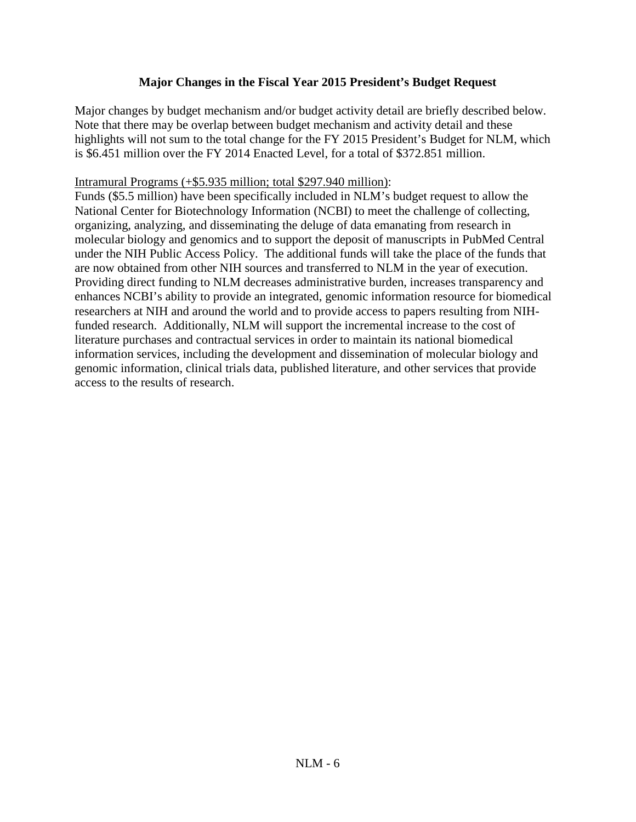## **Major Changes in the Fiscal Year 2015 President's Budget Request**

Major changes by budget mechanism and/or budget activity detail are briefly described below. Note that there may be overlap between budget mechanism and activity detail and these highlights will not sum to the total change for the FY 2015 President's Budget for NLM, which is \$6.451 million over the FY 2014 Enacted Level, for a total of \$372.851 million.

## Intramural Programs (+\$5.935 million; total \$297.940 million):

Funds (\$5.5 million) have been specifically included in NLM's budget request to allow the National Center for Biotechnology Information (NCBI) to meet the challenge of collecting, organizing, analyzing, and disseminating the deluge of data emanating from research in molecular biology and genomics and to support the deposit of manuscripts in PubMed Central under the NIH Public Access Policy. The additional funds will take the place of the funds that are now obtained from other NIH sources and transferred to NLM in the year of execution. Providing direct funding to NLM decreases administrative burden, increases transparency and enhances NCBI's ability to provide an integrated, genomic information resource for biomedical researchers at NIH and around the world and to provide access to papers resulting from NIHfunded research. Additionally, NLM will support the incremental increase to the cost of literature purchases and contractual services in order to maintain its national biomedical information services, including the development and dissemination of molecular biology and genomic information, clinical trials data, published literature, and other services that provide access to the results of research.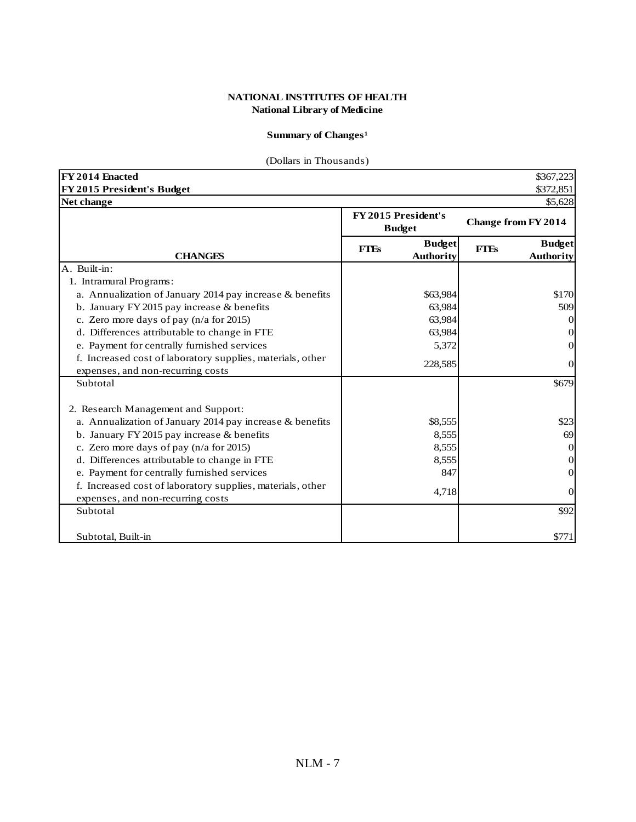## **Summary of Changes<sup>1</sup>**

## (Dollars in Thousands)

| FY 2014 Enacted                                                                                 |                                      |                                   |             | \$367,223                         |
|-------------------------------------------------------------------------------------------------|--------------------------------------|-----------------------------------|-------------|-----------------------------------|
| FY 2015 President's Budget                                                                      |                                      |                                   |             | \$372,851                         |
| Net change                                                                                      |                                      |                                   |             | \$5,628                           |
|                                                                                                 | FY 2015 President's<br><b>Budget</b> |                                   |             | <b>Change from FY 2014</b>        |
| <b>CHANGES</b>                                                                                  | <b>FTEs</b>                          | <b>Budget</b><br><b>Authority</b> | <b>FTEs</b> | <b>Budget</b><br><b>Authority</b> |
| A. Built-in:                                                                                    |                                      |                                   |             |                                   |
| 1. Intramural Programs:                                                                         |                                      |                                   |             |                                   |
| a. Annualization of January 2014 pay increase & benefits                                        |                                      | \$63,984                          |             | \$170                             |
| b. January FY 2015 pay increase & benefits                                                      |                                      | 63,984                            |             | 509                               |
| c. Zero more days of pay $(n/a$ for 2015)                                                       |                                      | 63,984                            |             | $\theta$                          |
| d. Differences attributable to change in FTE                                                    |                                      | 63,984                            |             | $\theta$                          |
| e. Payment for centrally furnished services                                                     |                                      | 5,372                             |             | 0                                 |
| f. Increased cost of laboratory supplies, materials, other<br>expenses, and non-recurring costs |                                      | 228,585                           |             | $\theta$                          |
| Subtotal                                                                                        |                                      |                                   |             | \$679                             |
| 2. Research Management and Support:                                                             |                                      |                                   |             |                                   |
| a. Annualization of January 2014 pay increase & benefits                                        |                                      | \$8,555                           |             | \$23                              |
| b. January FY 2015 pay increase $&$ benefits                                                    |                                      | 8,555                             |             | 69                                |
| c. Zero more days of pay (n/a for 2015)                                                         |                                      | 8,555                             |             | $\overline{0}$                    |
| d. Differences attributable to change in FTE                                                    |                                      | 8,555                             |             | 0                                 |
| e. Payment for centrally furnished services                                                     |                                      | 847                               |             | $\Omega$                          |
| f. Increased cost of laboratory supplies, materials, other<br>expenses, and non-recurring costs |                                      | 4,718                             |             | $\Omega$                          |
| Subtotal                                                                                        |                                      |                                   |             | \$92                              |
| Subtotal, Built-in                                                                              |                                      |                                   |             | \$771                             |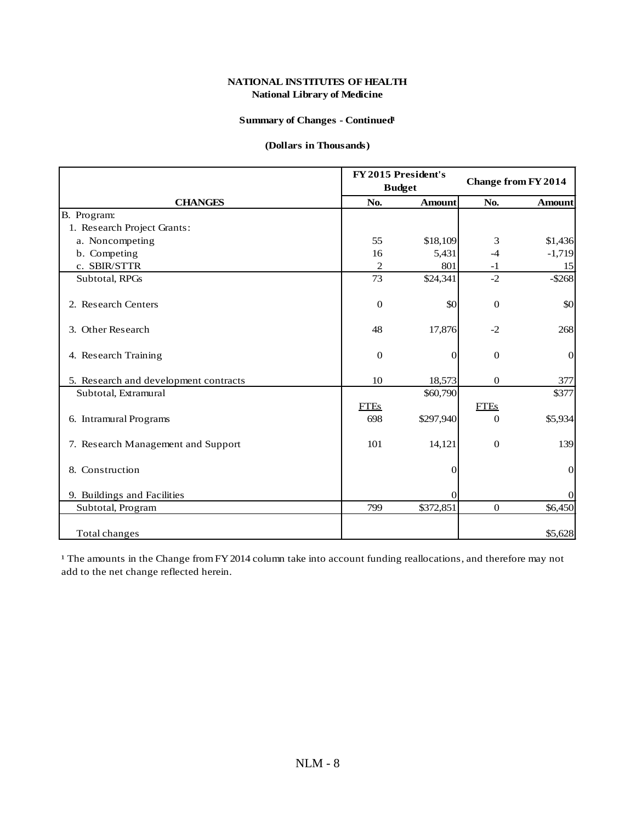#### **Summary of Changes - Continued<sup>1</sup>**

#### **(Dollars in Thousands)**

|                                       |                  | FY 2015 President's<br><b>Budget</b> | <b>Change from FY 2014</b> |                |  |
|---------------------------------------|------------------|--------------------------------------|----------------------------|----------------|--|
| <b>CHANGES</b>                        | No.              | <b>Amount</b>                        | No.                        | <b>Amount</b>  |  |
| B. Program:                           |                  |                                      |                            |                |  |
| 1. Research Project Grants:           |                  |                                      |                            |                |  |
| a. Noncompeting                       | 55               | \$18,109                             | 3                          | \$1,436        |  |
| b. Competing                          | 16               | 5,431                                | $-4$                       | $-1,719$       |  |
| c. SBIR/STTR                          | $\overline{c}$   | 801                                  | $-1$                       | 15             |  |
| Subtotal, RPGs                        | 73               | \$24,341                             | $-2$                       | $-$ \$268      |  |
| 2. Research Centers                   | $\boldsymbol{0}$ | \$0                                  | $\boldsymbol{0}$           | \$0            |  |
| 3. Other Research                     | 48               | 17,876                               | $-2$                       | 268            |  |
| 4. Research Training                  | $\boldsymbol{0}$ | $\Omega$                             | $\boldsymbol{0}$           | $\mathbf{0}$   |  |
| 5. Research and development contracts | 10               | 18,573                               | $\overline{0}$             | 377            |  |
| Subtotal, Extramural                  |                  | \$60,790                             |                            | \$377          |  |
|                                       | <b>FTEs</b>      |                                      | <b>FTEs</b>                |                |  |
| 6. Intramural Programs                | 698              | \$297,940                            | $\mathbf{0}$               | \$5,934        |  |
| 7. Research Management and Support    | 101              | 14,121                               | $\boldsymbol{0}$           | 139            |  |
| 8. Construction                       |                  | 0                                    |                            | $\mathbf{0}$   |  |
| 9. Buildings and Facilities           |                  | 0                                    |                            | $\overline{0}$ |  |
| Subtotal, Program                     | 799              | \$372,851                            | $\mathbf{0}$               | \$6,450        |  |
| Total changes                         |                  |                                      |                            | \$5,628        |  |

<sup>1</sup> The amounts in the Change from FY 2014 column take into account funding reallocations, and therefore may not add to the net change reflected herein.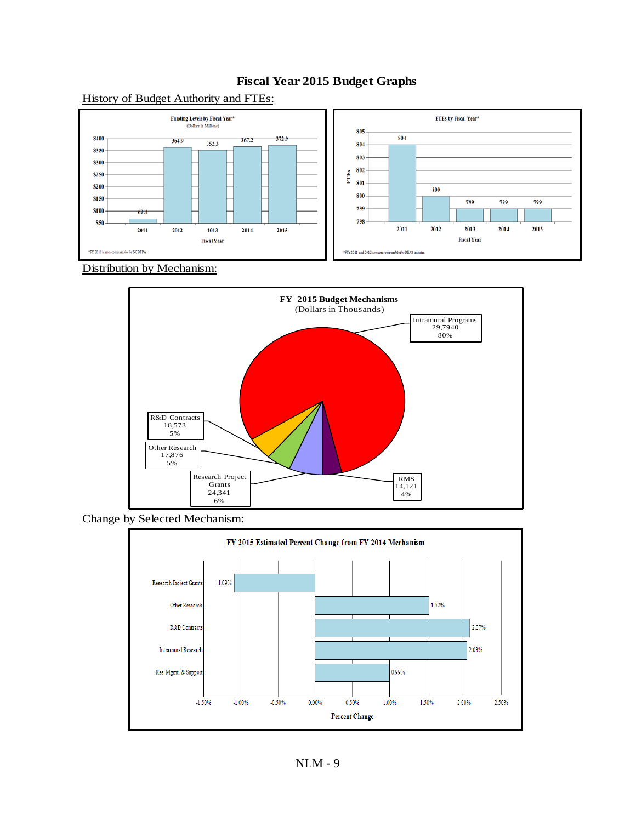

## **Fiscal Year 2015 Budget Graphs**

Distribution by Mechanism:



Change by Selected Mechanism:

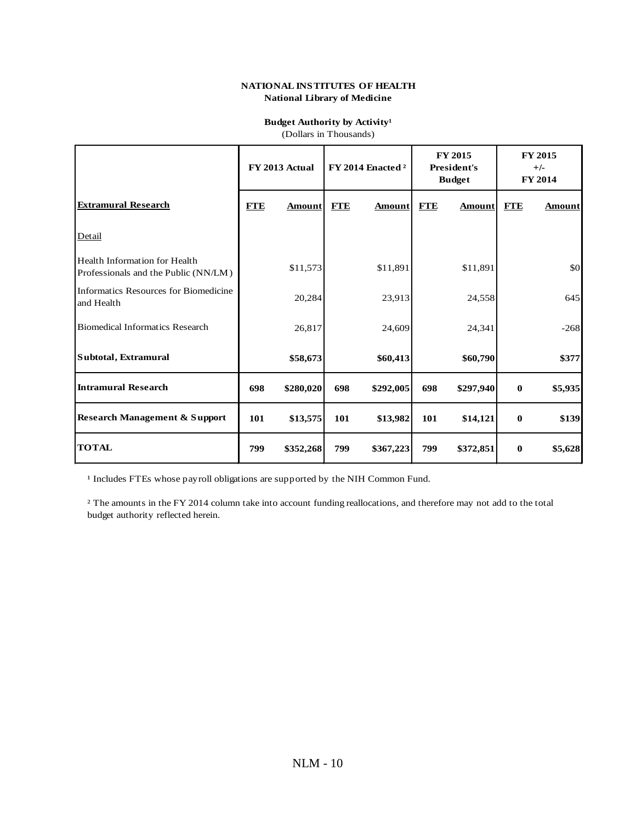## **Budget Authority by Activity<sup>1</sup>**

|  |  | (Dollars in Thousands) |
|--|--|------------------------|
|--|--|------------------------|

|                                                                       | FY 2013 Actual |           | FY 2014 Enacted <sup>2</sup> |               | FY 2015<br><b>President's</b><br><b>Budget</b> |               | <b>FY 2015</b><br>$+/-$<br><b>FY 2014</b> |         |
|-----------------------------------------------------------------------|----------------|-----------|------------------------------|---------------|------------------------------------------------|---------------|-------------------------------------------|---------|
| <b>Extramural Research</b>                                            | <b>FTE</b>     | Amount    | <b>FTE</b>                   | <b>Amount</b> | <b>FTE</b>                                     | <b>Amount</b> | <b>FTE</b>                                | Amount  |
| Detail                                                                |                |           |                              |               |                                                |               |                                           |         |
| Health Information for Health<br>Professionals and the Public (NN/LM) |                | \$11,573  |                              | \$11,891      |                                                | \$11,891      |                                           | \$0     |
| Informatics Resources for Biomedicine<br>and Health                   |                | 20,284    |                              | 23,913        |                                                | 24,558        |                                           | 645     |
| <b>Biomedical Informatics Research</b>                                |                | 26,817    |                              | 24,609        |                                                | 24,341        |                                           | $-268$  |
| Subtotal, Extramural                                                  |                | \$58,673  |                              | \$60,413      |                                                | \$60,790      |                                           | \$377   |
| <b>Intramural Research</b>                                            | 698            | \$280,020 | 698                          | \$292,005     | 698                                            | \$297,940     | $\bf{0}$                                  | \$5,935 |
| <b>Research Management &amp; Support</b>                              | 101            | \$13,575  | 101                          | \$13,982      | 101                                            | \$14,121      | $\bf{0}$                                  | \$139   |
| <b>TOTAL</b>                                                          | 799            | \$352,268 | 799                          | \$367,223     | 799                                            | \$372,851     | $\bf{0}$                                  | \$5,628 |

<sup>1</sup> Includes FTEs whose payroll obligations are supported by the NIH Common Fund.

² The amounts in the FY 2014 column take into account funding reallocations, and therefore may not add to the total budget authority reflected herein.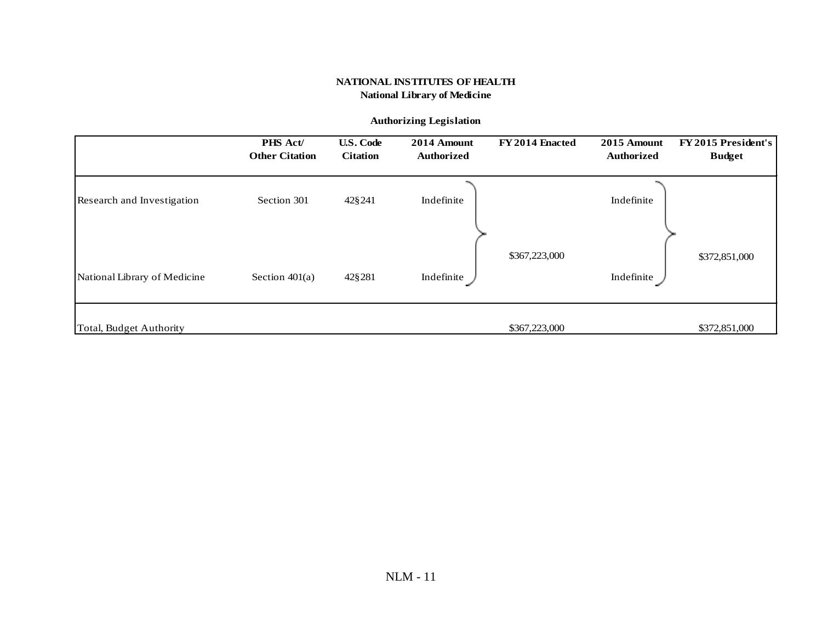#### **Authorizing Legislation**

|                              | PHS Act/<br><b>Other Citation</b> | <b>U.S. Code</b><br><b>Citation</b> | 2014 Amount<br><b>Authorized</b> | FY 2014 Enacted | 2015 Amount<br><b>Authorized</b> | FY 2015 President's<br><b>Budget</b> |
|------------------------------|-----------------------------------|-------------------------------------|----------------------------------|-----------------|----------------------------------|--------------------------------------|
| Research and Investigation   | Section 301                       | 42§241                              | Indefinite                       |                 | Indefinite                       |                                      |
|                              |                                   |                                     |                                  | \$367,223,000   |                                  | \$372,851,000                        |
| National Library of Medicine | Section $401(a)$                  | 42§281                              | Indefinite                       |                 | Indefinite                       |                                      |
| Total, Budget Authority      |                                   |                                     |                                  | \$367,223,000   |                                  | \$372,851,000                        |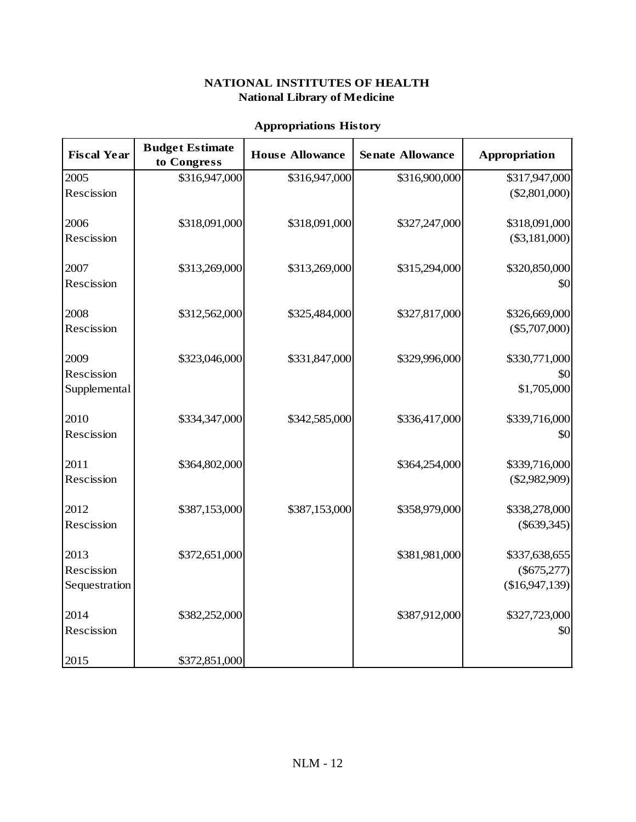## **Appropriations History**

| <b>Fiscal Year</b> | <b>Budget Estimate</b><br>to Congress | <b>House Allowance</b> | <b>Senate Allowance</b> | Appropriation   |
|--------------------|---------------------------------------|------------------------|-------------------------|-----------------|
| 2005               | \$316,947,000                         | \$316,947,000          | \$316,900,000           | \$317,947,000   |
| Rescission         |                                       |                        |                         | (\$2,801,000)   |
| 2006               | \$318,091,000                         | \$318,091,000          | \$327,247,000           | \$318,091,000   |
| Rescission         |                                       |                        |                         | (\$3,181,000)   |
| 2007               | \$313,269,000                         | \$313,269,000          | \$315,294,000           | \$320,850,000   |
| Rescission         |                                       |                        |                         | \$0             |
| 2008               | \$312,562,000                         | \$325,484,000          | \$327,817,000           | \$326,669,000   |
| Rescission         |                                       |                        |                         | $(\$5,707,000)$ |
| 2009               | \$323,046,000                         | \$331,847,000          | \$329,996,000           | \$330,771,000   |
| Rescission         |                                       |                        |                         | \$0             |
| Supplemental       |                                       |                        |                         | \$1,705,000     |
| 2010               | \$334,347,000                         | \$342,585,000          | \$336,417,000           | \$339,716,000   |
| Rescission         |                                       |                        |                         | \$0             |
| 2011               | \$364,802,000                         |                        | \$364,254,000           | \$339,716,000   |
| Rescission         |                                       |                        |                         | $(\$2,982,909)$ |
| 2012               | \$387,153,000                         | \$387,153,000          | \$358,979,000           | \$338,278,000   |
| Rescission         |                                       |                        |                         | $(\$639,345)$   |
| 2013               | \$372,651,000                         |                        | \$381,981,000           | \$337,638,655   |
| Rescission         |                                       |                        |                         | $(\$675,277)$   |
| Sequestration      |                                       |                        |                         | (\$16,947,139)  |
| 2014               | \$382,252,000                         |                        | \$387,912,000           | \$327,723,000   |
| Rescission         |                                       |                        |                         | \$0             |
| 2015               | \$372,851,000                         |                        |                         |                 |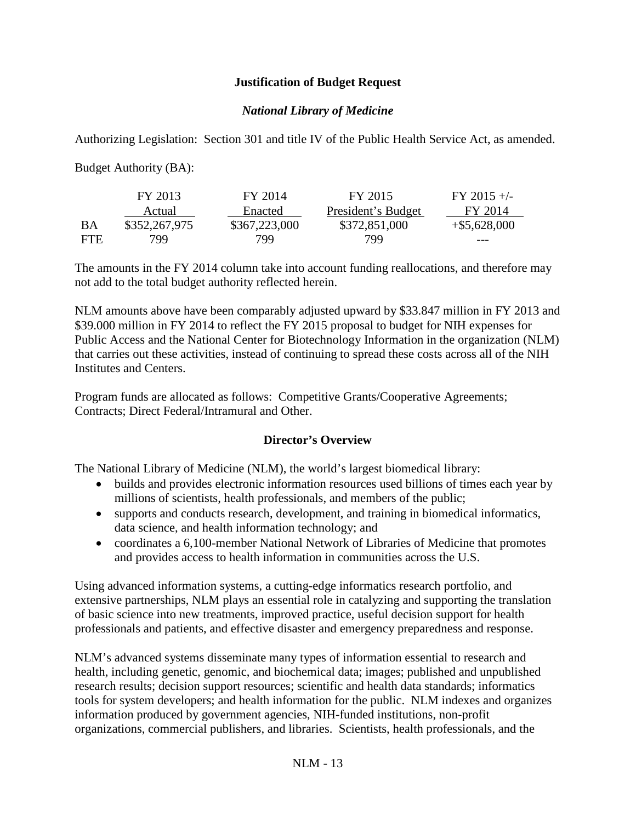## **Justification of Budget Request**

## *National Library of Medicine*

Authorizing Legislation: Section 301 and title IV of the Public Health Service Act, as amended.

Budget Authority (BA):

|            | FY 2013       | FY 2014       | FY 2015            | $FY$ 2015 +/-   |
|------------|---------------|---------------|--------------------|-----------------|
|            | Actual        | Enacted       | President's Budget | FY 2014         |
| ВA         | \$352,267,975 | \$367,223,000 | \$372,851,000      | $+$ \$5,628,000 |
| <b>FTE</b> | 799.          | 799           | 799                | ---             |

The amounts in the FY 2014 column take into account funding reallocations, and therefore may not add to the total budget authority reflected herein.

NLM amounts above have been comparably adjusted upward by \$33.847 million in FY 2013 and \$39.000 million in FY 2014 to reflect the FY 2015 proposal to budget for NIH expenses for Public Access and the National Center for Biotechnology Information in the organization (NLM) that carries out these activities, instead of continuing to spread these costs across all of the NIH Institutes and Centers.

Program funds are allocated as follows: Competitive Grants/Cooperative Agreements; Contracts; Direct Federal/Intramural and Other.

## **Director's Overview**

The National Library of Medicine (NLM), the world's largest biomedical library:

- builds and provides electronic information resources used billions of times each year by millions of scientists, health professionals, and members of the public;
- supports and conducts research, development, and training in biomedical informatics, data science, and health information technology; and
- coordinates a 6,100-member National Network of Libraries of Medicine that promotes and provides access to health information in communities across the U.S.

Using advanced information systems, a cutting-edge informatics research portfolio, and extensive partnerships, NLM plays an essential role in catalyzing and supporting the translation of basic science into new treatments, improved practice, useful decision support for health professionals and patients, and effective disaster and emergency preparedness and response.

NLM's advanced systems disseminate many types of information essential to research and health, including genetic, genomic, and biochemical data; images; published and unpublished research results; decision support resources; scientific and health data standards; informatics tools for system developers; and health information for the public. NLM indexes and organizes information produced by government agencies, NIH-funded institutions, non-profit organizations, commercial publishers, and libraries. Scientists, health professionals, and the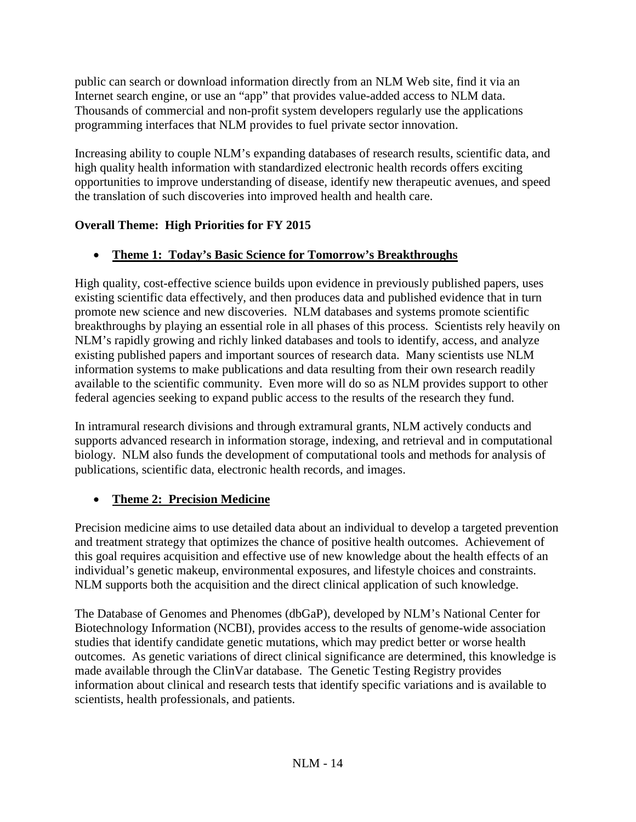public can search or download information directly from an NLM Web site, find it via an Internet search engine, or use an "app" that provides value-added access to NLM data. Thousands of commercial and non-profit system developers regularly use the applications programming interfaces that NLM provides to fuel private sector innovation.

Increasing ability to couple NLM's expanding databases of research results, scientific data, and high quality health information with standardized electronic health records offers exciting opportunities to improve understanding of disease, identify new therapeutic avenues, and speed the translation of such discoveries into improved health and health care.

# **Overall Theme: High Priorities for FY 2015**

# • **Theme 1: Today's Basic Science for Tomorrow's Breakthroughs**

High quality, cost-effective science builds upon evidence in previously published papers, uses existing scientific data effectively, and then produces data and published evidence that in turn promote new science and new discoveries. NLM databases and systems promote scientific breakthroughs by playing an essential role in all phases of this process. Scientists rely heavily on NLM's rapidly growing and richly linked databases and tools to identify, access, and analyze existing published papers and important sources of research data. Many scientists use NLM information systems to make publications and data resulting from their own research readily available to the scientific community. Even more will do so as NLM provides support to other federal agencies seeking to expand public access to the results of the research they fund.

In intramural research divisions and through extramural grants, NLM actively conducts and supports advanced research in information storage, indexing, and retrieval and in computational biology. NLM also funds the development of computational tools and methods for analysis of publications, scientific data, electronic health records, and images.

# • **Theme 2: Precision Medicine**

Precision medicine aims to use detailed data about an individual to develop a targeted prevention and treatment strategy that optimizes the chance of positive health outcomes. Achievement of this goal requires acquisition and effective use of new knowledge about the health effects of an individual's genetic makeup, environmental exposures, and lifestyle choices and constraints. NLM supports both the acquisition and the direct clinical application of such knowledge.

The Database of Genomes and Phenomes (dbGaP), developed by NLM's National Center for Biotechnology Information (NCBI), provides access to the results of genome-wide association studies that identify candidate genetic mutations, which may predict better or worse health outcomes. As genetic variations of direct clinical significance are determined, this knowledge is made available through the ClinVar database. The Genetic Testing Registry provides information about clinical and research tests that identify specific variations and is available to scientists, health professionals, and patients.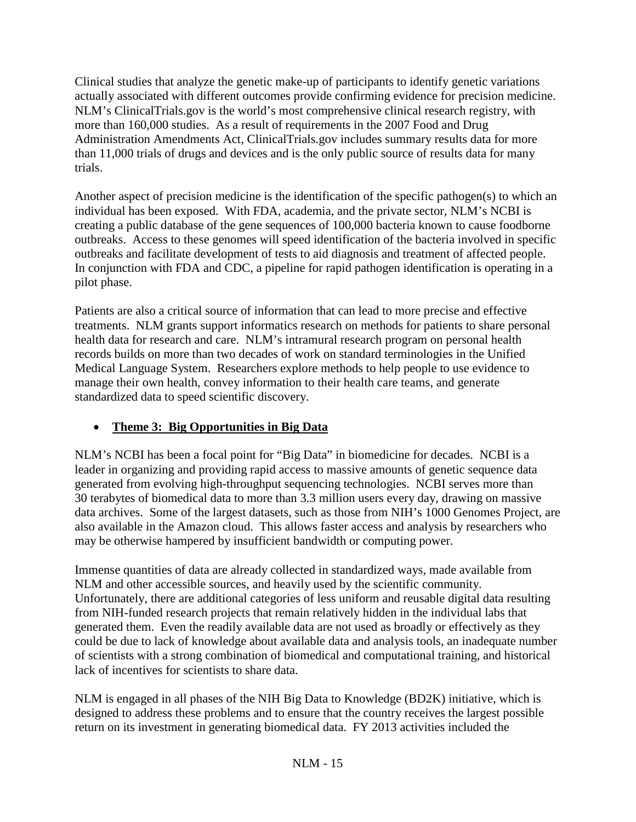Clinical studies that analyze the genetic make-up of participants to identify genetic variations actually associated with different outcomes provide confirming evidence for precision medicine. NLM's ClinicalTrials.gov is the world's most comprehensive clinical research registry, with more than 160,000 studies. As a result of requirements in the 2007 Food and Drug Administration Amendments Act, ClinicalTrials.gov includes summary results data for more than 11,000 trials of drugs and devices and is the only public source of results data for many trials.

Another aspect of precision medicine is the identification of the specific pathogen(s) to which an individual has been exposed. With FDA, academia, and the private sector, NLM's NCBI is creating a public database of the gene sequences of 100,000 bacteria known to cause foodborne outbreaks. Access to these genomes will speed identification of the bacteria involved in specific outbreaks and facilitate development of tests to aid diagnosis and treatment of affected people. In conjunction with FDA and CDC, a pipeline for rapid pathogen identification is operating in a pilot phase.

Patients are also a critical source of information that can lead to more precise and effective treatments. NLM grants support informatics research on methods for patients to share personal health data for research and care. NLM's intramural research program on personal health records builds on more than two decades of work on standard terminologies in the Unified Medical Language System. Researchers explore methods to help people to use evidence to manage their own health, convey information to their health care teams, and generate standardized data to speed scientific discovery.

## • **Theme 3: Big Opportunities in Big Data**

NLM's NCBI has been a focal point for "Big Data" in biomedicine for decades. NCBI is a leader in organizing and providing rapid access to massive amounts of genetic sequence data generated from evolving high-throughput sequencing technologies. NCBI serves more than 30 terabytes of biomedical data to more than 3.3 million users every day, drawing on massive data archives. Some of the largest datasets, such as those from NIH's 1000 Genomes Project, are also available in the Amazon cloud. This allows faster access and analysis by researchers who may be otherwise hampered by insufficient bandwidth or computing power.

Immense quantities of data are already collected in standardized ways, made available from NLM and other accessible sources, and heavily used by the scientific community. Unfortunately, there are additional categories of less uniform and reusable digital data resulting from NIH-funded research projects that remain relatively hidden in the individual labs that generated them. Even the readily available data are not used as broadly or effectively as they could be due to lack of knowledge about available data and analysis tools, an inadequate number of scientists with a strong combination of biomedical and computational training, and historical lack of incentives for scientists to share data.

NLM is engaged in all phases of the NIH Big Data to Knowledge (BD2K) initiative, which is designed to address these problems and to ensure that the country receives the largest possible return on its investment in generating biomedical data. FY 2013 activities included the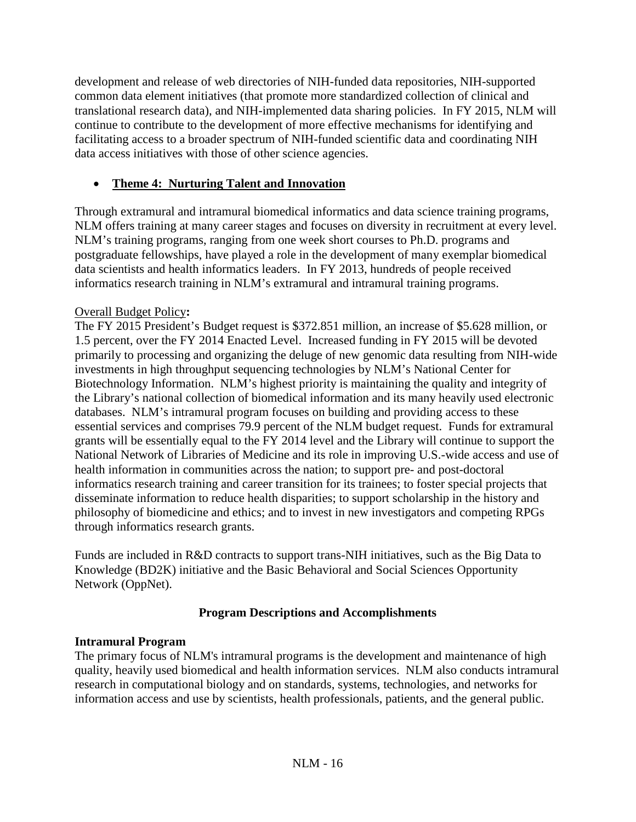development and release of web directories of NIH-funded data repositories, NIH-supported common data element initiatives (that promote more standardized collection of clinical and translational research data), and NIH-implemented data sharing policies. In FY 2015, NLM will continue to contribute to the development of more effective mechanisms for identifying and facilitating access to a broader spectrum of NIH-funded scientific data and coordinating NIH data access initiatives with those of other science agencies.

## • **Theme 4: Nurturing Talent and Innovation**

Through extramural and intramural biomedical informatics and data science training programs, NLM offers training at many career stages and focuses on diversity in recruitment at every level. NLM's training programs, ranging from one week short courses to Ph.D. programs and postgraduate fellowships, have played a role in the development of many exemplar biomedical data scientists and health informatics leaders. In FY 2013, hundreds of people received informatics research training in NLM's extramural and intramural training programs.

## Overall Budget Policy**:**

The FY 2015 President's Budget request is \$372.851 million, an increase of \$5.628 million, or 1.5 percent, over the FY 2014 Enacted Level. Increased funding in FY 2015 will be devoted primarily to processing and organizing the deluge of new genomic data resulting from NIH-wide investments in high throughput sequencing technologies by NLM's National Center for Biotechnology Information. NLM's highest priority is maintaining the quality and integrity of the Library's national collection of biomedical information and its many heavily used electronic databases. NLM's intramural program focuses on building and providing access to these essential services and comprises 79.9 percent of the NLM budget request. Funds for extramural grants will be essentially equal to the FY 2014 level and the Library will continue to support the National Network of Libraries of Medicine and its role in improving U.S.-wide access and use of health information in communities across the nation; to support pre- and post-doctoral informatics research training and career transition for its trainees; to foster special projects that disseminate information to reduce health disparities; to support scholarship in the history and philosophy of biomedicine and ethics; and to invest in new investigators and competing RPGs through informatics research grants.

Funds are included in R&D contracts to support trans-NIH initiatives, such as the Big Data to Knowledge (BD2K) initiative and the Basic Behavioral and Social Sciences Opportunity Network (OppNet).

## **Program Descriptions and Accomplishments**

## **Intramural Program**

The primary focus of NLM's intramural programs is the development and maintenance of high quality, heavily used biomedical and health information services. NLM also conducts intramural research in computational biology and on standards, systems, technologies, and networks for information access and use by scientists, health professionals, patients, and the general public.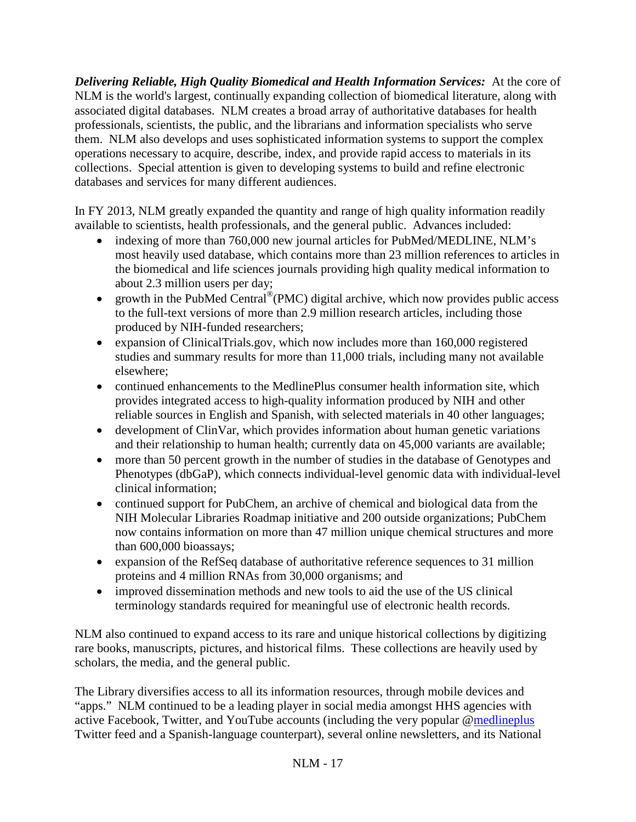*Delivering Reliable, High Quality Biomedical and Health Information Services:*At the core of NLM is the world's largest, continually expanding collection of biomedical literature, along with associated digital databases. NLM creates a broad array of authoritative databases for health professionals, scientists, the public, and the librarians and information specialists who serve them. NLM also develops and uses sophisticated information systems to support the complex operations necessary to acquire, describe, index, and provide rapid access to materials in its collections. Special attention is given to developing systems to build and refine electronic databases and services for many different audiences.

In FY 2013, NLM greatly expanded the quantity and range of high quality information readily available to scientists, health professionals, and the general public. Advances included:

- indexing of more than 760,000 new journal articles for PubMed/MEDLINE, NLM's most heavily used database, which contains more than 23 million references to articles in the biomedical and life sciences journals providing high quality medical information to about 2.3 million users per day;
- growth in the PubMed Central<sup>®</sup>(PMC) digital archive, which now provides public access to the full-text versions of more than 2.9 million research articles, including those produced by NIH-funded researchers;
- expansion of ClinicalTrials.gov, which now includes more than 160,000 registered studies and summary results for more than 11,000 trials, including many not available elsewhere;
- continued enhancements to the MedlinePlus consumer health information site, which provides integrated access to high-quality information produced by NIH and other reliable sources in English and Spanish, with selected materials in 40 other languages;
- development of ClinVar, which provides information about human genetic variations and their relationship to human health; currently data on 45,000 variants are available;
- more than 50 percent growth in the number of studies in the database of Genotypes and Phenotypes (dbGaP), which connects individual-level genomic data with individual-level clinical information;
- continued support for PubChem, an archive of chemical and biological data from the NIH Molecular Libraries Roadmap initiative and 200 outside organizations; PubChem now contains information on more than 47 million unique chemical structures and more than 600,000 bioassays;
- expansion of the RefSeq database of authoritative reference sequences to 31 million proteins and 4 million RNAs from 30,000 organisms; and
- improved dissemination methods and new tools to aid the use of the US clinical terminology standards required for meaningful use of electronic health records.

NLM also continued to expand access to its rare and unique historical collections by digitizing rare books, manuscripts, pictures, and historical films. These collections are heavily used by scholars, the media, and the general public.

The Library diversifies access to all its information resources, through mobile devices and "apps." NLM continued to be a leading player in social media amongst HHS agencies with active Facebook, Twitter, and YouTube accounts (including the very popular [@medlineplus](http://twitter.com/medlineplus4you) Twitter feed and a Spanish-language counterpart), several online newsletters, and its National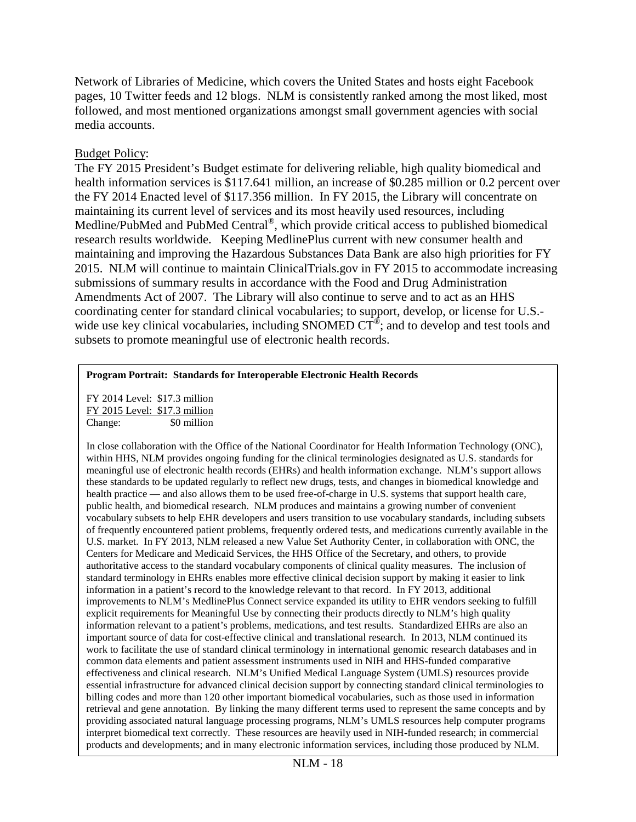Network of Libraries of Medicine, which covers the United States and hosts eight Facebook pages, 10 Twitter feeds and 12 blogs. NLM is consistently ranked among the most liked, most followed, and most mentioned organizations amongst small government agencies with social media accounts.

## Budget Policy:

The FY 2015 President's Budget estimate for delivering reliable, high quality biomedical and health information services is \$117.641 million, an increase of \$0.285 million or 0.2 percent over the FY 2014 Enacted level of \$117.356 million. In FY 2015, the Library will concentrate on maintaining its current level of services and its most heavily used resources, including Medline/PubMed and PubMed Central®, which provide critical access to published biomedical research results worldwide. Keeping MedlinePlus current with new consumer health and maintaining and improving the Hazardous Substances Data Bank are also high priorities for FY 2015. NLM will continue to maintain ClinicalTrials.gov in FY 2015 to accommodate increasing submissions of summary results in accordance with the Food and Drug Administration Amendments Act of 2007. The Library will also continue to serve and to act as an HHS coordinating center for standard clinical vocabularies; to support, develop, or license for U.S. wide use key clinical vocabularies, including SNOMED  $CT^{\circledcirc}$ ; and to develop and test tools and subsets to promote meaningful use of electronic health records.

### **Program Portrait: Standards for Interoperable Electronic Health Records**

FY 2014 Level: \$17.3 million FY 2015 Level: \$17.3 million Change: \$0 million

In close collaboration with the Office of the National Coordinator for Health Information Technology (ONC), within HHS, NLM provides ongoing funding for the clinical terminologies designated as U.S. standards for meaningful use of electronic health records (EHRs) and health information exchange. NLM's support allows these standards to be updated regularly to reflect new drugs, tests, and changes in biomedical knowledge and health practice — and also allows them to be used free-of-charge in U.S. systems that support health care, public health, and biomedical research. NLM produces and maintains a growing number of convenient vocabulary subsets to help EHR developers and users transition to use vocabulary standards, including subsets of frequently encountered patient problems, frequently ordered tests, and medications currently available in the U.S. market. In FY 2013, NLM released a new Value Set Authority Center, in collaboration with ONC, the Centers for Medicare and Medicaid Services, the HHS Office of the Secretary, and others, to provide authoritative access to the standard vocabulary components of clinical quality measures. The inclusion of standard terminology in EHRs enables more effective clinical decision support by making it easier to link information in a patient's record to the knowledge relevant to that record. In FY 2013, additional improvements to NLM's MedlinePlus Connect service expanded its utility to EHR vendors seeking to fulfill explicit requirements for Meaningful Use by connecting their products directly to NLM's high quality information relevant to a patient's problems, medications, and test results. Standardized EHRs are also an important source of data for cost-effective clinical and translational research. In 2013, NLM continued its work to facilitate the use of standard clinical terminology in international genomic research databases and in common data elements and patient assessment instruments used in NIH and HHS-funded comparative effectiveness and clinical research. NLM's Unified Medical Language System (UMLS) resources provide essential infrastructure for advanced clinical decision support by connecting standard clinical terminologies to billing codes and more than 120 other important biomedical vocabularies, such as those used in information retrieval and gene annotation. By linking the many different terms used to represent the same concepts and by providing associated natural language processing programs, NLM's UMLS resources help computer programs interpret biomedical text correctly. These resources are heavily used in NIH-funded research; in commercial products and developments; and in many electronic information services, including those produced by NLM.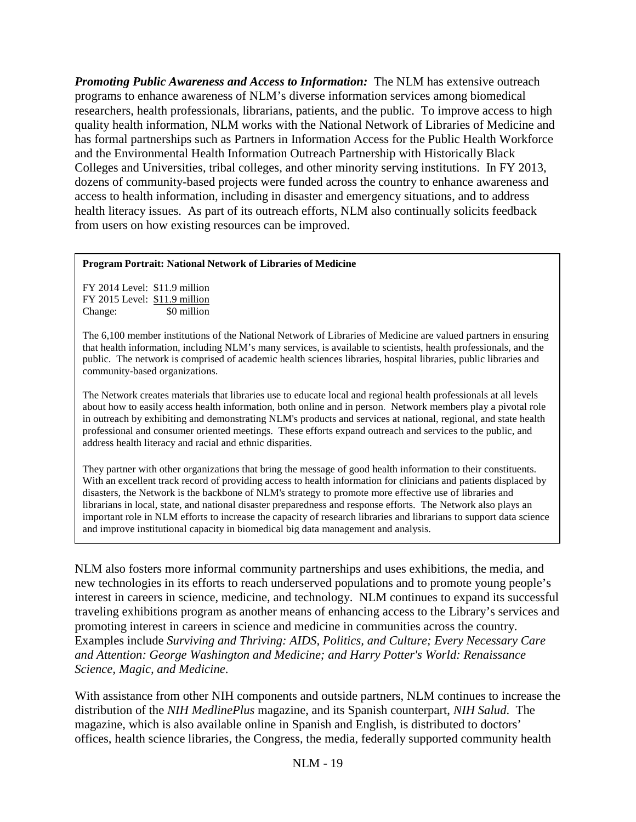*Promoting Public Awareness and Access to Information:*The NLM has extensive outreach programs to enhance awareness of NLM's diverse information services among biomedical researchers, health professionals, librarians, patients, and the public. To improve access to high quality health information, NLM works with the National Network of Libraries of Medicine and has formal partnerships such as Partners in Information Access for the Public Health Workforce and the Environmental Health Information Outreach Partnership with Historically Black Colleges and Universities, tribal colleges, and other minority serving institutions. In FY 2013, dozens of community-based projects were funded across the country to enhance awareness and access to health information, including in disaster and emergency situations, and to address health literacy issues. As part of its outreach efforts, NLM also continually solicits feedback from users on how existing resources can be improved.

#### **Program Portrait: National Network of Libraries of Medicine**

FY 2014 Level: \$11.9 million FY 2015 Level: \$11.9 million Change: \$0 million

The 6,100 member institutions of the National Network of Libraries of Medicine are valued partners in ensuring that health information, including NLM's many services, is available to scientists, health professionals, and the public. The network is comprised of academic health sciences libraries, hospital libraries, public libraries and community-based organizations.

The Network creates materials that libraries use to educate local and regional health professionals at all levels about how to easily access health information, both online and in person. Network members play a pivotal role in outreach by exhibiting and demonstrating NLM's products and services at national, regional, and state health professional and consumer oriented meetings. These efforts expand outreach and services to the public, and address health literacy and racial and ethnic disparities.

They partner with other organizations that bring the message of good health information to their constituents. With an excellent track record of providing access to health information for clinicians and patients displaced by disasters, the Network is the backbone of NLM's strategy to promote more effective use of libraries and librarians in local, state, and national disaster preparedness and response efforts. The Network also plays an important role in NLM efforts to increase the capacity of research libraries and librarians to support data science and improve institutional capacity in biomedical big data management and analysis.

NLM also fosters more informal community partnerships and uses exhibitions, the media, and new technologies in its efforts to reach underserved populations and to promote young people's interest in careers in science, medicine, and technology. NLM continues to expand its successful traveling exhibitions program as another means of enhancing access to the Library's services and promoting interest in careers in science and medicine in communities across the country. Examples include *Surviving and Thriving: AIDS, Politics, and Culture; Every Necessary Care and Attention: George Washington and Medicine; and Harry Potter's World: Renaissance Science, Magic, and Medicine*.

With assistance from other NIH components and outside partners, NLM continues to increase the distribution of the *NIH MedlinePlus* magazine, and its Spanish counterpart, *NIH Salud*. The magazine, which is also available online in Spanish and English, is distributed to doctors' offices, health science libraries, the Congress, the media, federally supported community health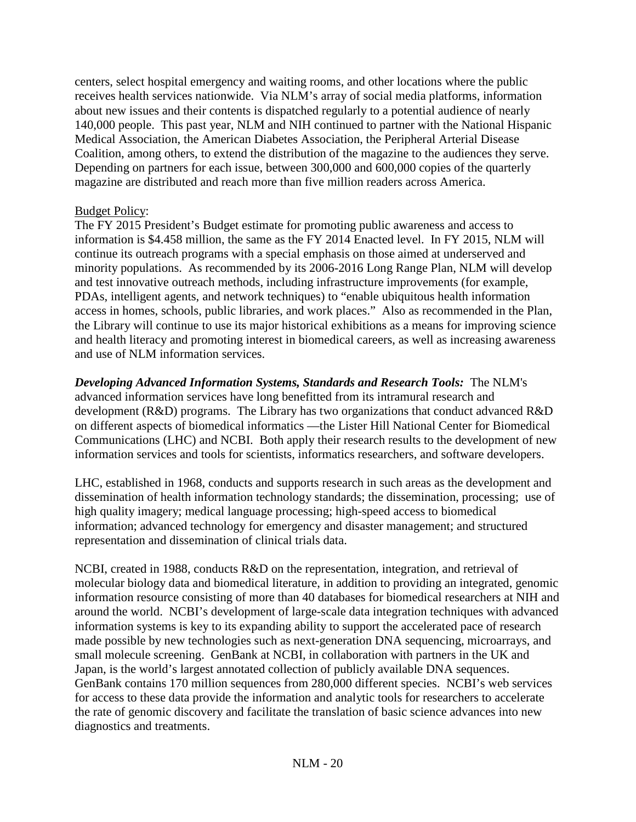centers, select hospital emergency and waiting rooms, and other locations where the public receives health services nationwide. Via NLM's array of social media platforms, information about new issues and their contents is dispatched regularly to a potential audience of nearly 140,000 people. This past year, NLM and NIH continued to partner with the National Hispanic Medical Association, the American Diabetes Association, the Peripheral Arterial Disease Coalition, among others, to extend the distribution of the magazine to the audiences they serve. Depending on partners for each issue, between 300,000 and 600,000 copies of the quarterly magazine are distributed and reach more than five million readers across America.

## Budget Policy:

The FY 2015 President's Budget estimate for promoting public awareness and access to information is \$4.458 million, the same as the FY 2014 Enacted level. In FY 2015, NLM will continue its outreach programs with a special emphasis on those aimed at underserved and minority populations. As recommended by its 2006-2016 Long Range Plan, NLM will develop and test innovative outreach methods, including infrastructure improvements (for example, PDAs, intelligent agents, and network techniques) to "enable ubiquitous health information access in homes, schools, public libraries, and work places." Also as recommended in the Plan, the Library will continue to use its major historical exhibitions as a means for improving science and health literacy and promoting interest in biomedical careers, as well as increasing awareness and use of NLM information services.

*Developing Advanced Information Systems, Standards and Research Tools:*The NLM's advanced information services have long benefitted from its intramural research and development (R&D) programs. The Library has two organizations that conduct advanced R&D on different aspects of biomedical informatics —the Lister Hill National Center for Biomedical Communications (LHC) and NCBI. Both apply their research results to the development of new information services and tools for scientists, informatics researchers, and software developers.

LHC, established in 1968, conducts and supports research in such areas as the development and dissemination of health information technology standards; the dissemination, processing; use of high quality imagery; medical language processing; high-speed access to biomedical information; advanced technology for emergency and disaster management; and structured representation and dissemination of clinical trials data.

NCBI, created in 1988, conducts R&D on the representation, integration, and retrieval of molecular biology data and biomedical literature, in addition to providing an integrated, genomic information resource consisting of more than 40 databases for biomedical researchers at NIH and around the world. NCBI's development of large-scale data integration techniques with advanced information systems is key to its expanding ability to support the accelerated pace of research made possible by new technologies such as next-generation DNA sequencing, microarrays, and small molecule screening. GenBank at NCBI, in collaboration with partners in the UK and Japan, is the world's largest annotated collection of publicly available DNA sequences. GenBank contains 170 million sequences from 280,000 different species. NCBI's web services for access to these data provide the information and analytic tools for researchers to accelerate the rate of genomic discovery and facilitate the translation of basic science advances into new diagnostics and treatments.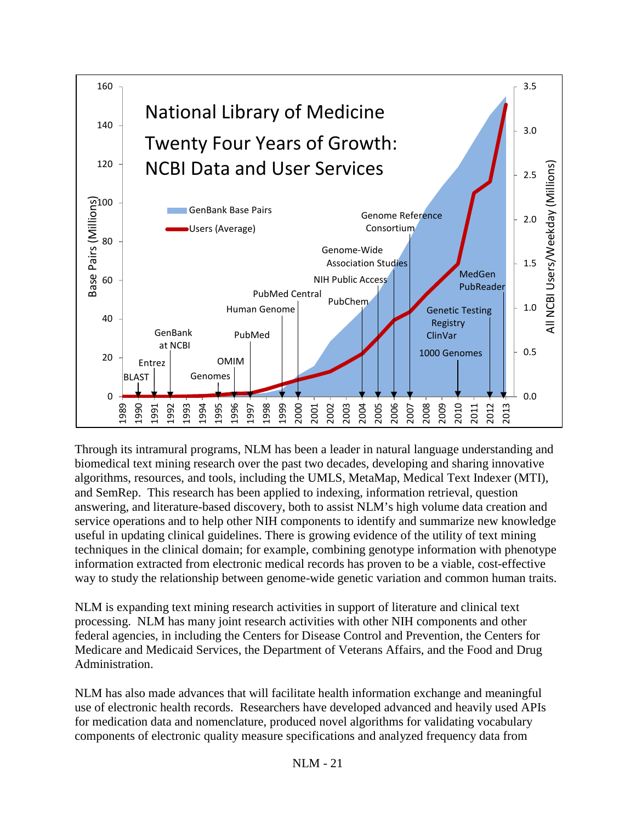

Through its intramural programs, NLM has been a leader in natural language understanding and biomedical text mining research over the past two decades, developing and sharing innovative algorithms, resources, and tools, including the UMLS, MetaMap, Medical Text Indexer (MTI), and SemRep. This research has been applied to indexing, information retrieval, question answering, and literature-based discovery, both to assist NLM's high volume data creation and service operations and to help other NIH components to identify and summarize new knowledge useful in updating clinical guidelines. There is growing evidence of the utility of text mining techniques in the clinical domain; for example, combining genotype information with phenotype information extracted from electronic medical records has proven to be a viable, cost-effective way to study the relationship between genome-wide genetic variation and common human traits.

NLM is expanding text mining research activities in support of literature and clinical text processing. NLM has many joint research activities with other NIH components and other federal agencies, in including the Centers for Disease Control and Prevention, the Centers for Medicare and Medicaid Services, the Department of Veterans Affairs, and the Food and Drug Administration.

NLM has also made advances that will facilitate health information exchange and meaningful use of electronic health records. Researchers have developed advanced and heavily used APIs for medication data and nomenclature, produced novel algorithms for validating vocabulary components of electronic quality measure specifications and analyzed frequency data from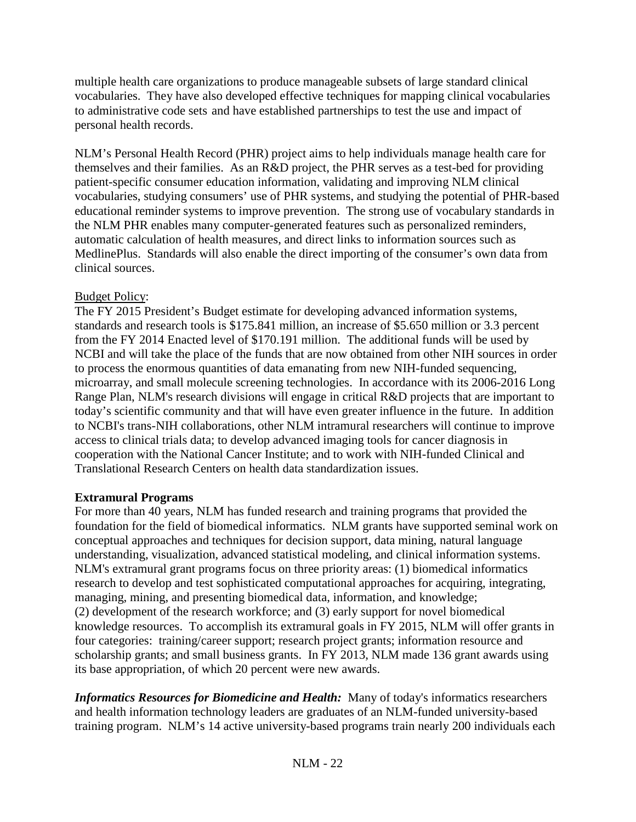multiple health care organizations to produce manageable subsets of large standard clinical vocabularies. They have also developed effective techniques for mapping clinical vocabularies to administrative code sets and have established partnerships to test the use and impact of personal health records.

NLM's Personal Health Record (PHR) project aims to help individuals manage health care for themselves and their families. As an R&D project, the PHR serves as a test-bed for providing patient-specific consumer education information, validating and improving NLM clinical vocabularies, studying consumers' use of PHR systems, and studying the potential of PHR-based educational reminder systems to improve prevention. The strong use of vocabulary standards in the NLM PHR enables many computer-generated features such as personalized reminders, automatic calculation of health measures, and direct links to information sources such as MedlinePlus. Standards will also enable the direct importing of the consumer's own data from clinical sources.

## Budget Policy:

The FY 2015 President's Budget estimate for developing advanced information systems, standards and research tools is \$175.841 million, an increase of \$5.650 million or 3.3 percent from the FY 2014 Enacted level of \$170.191 million. The additional funds will be used by NCBI and will take the place of the funds that are now obtained from other NIH sources in order to process the enormous quantities of data emanating from new NIH-funded sequencing, microarray, and small molecule screening technologies. In accordance with its 2006-2016 Long Range Plan, NLM's research divisions will engage in critical R&D projects that are important to today's scientific community and that will have even greater influence in the future. In addition to NCBI's trans-NIH collaborations, other NLM intramural researchers will continue to improve access to clinical trials data; to develop advanced imaging tools for cancer diagnosis in cooperation with the National Cancer Institute; and to work with NIH-funded Clinical and Translational Research Centers on health data standardization issues.

## **Extramural Programs**

For more than 40 years, NLM has funded research and training programs that provided the foundation for the field of biomedical informatics. NLM grants have supported seminal work on conceptual approaches and techniques for decision support, data mining, natural language understanding, visualization, advanced statistical modeling, and clinical information systems. NLM's extramural grant programs focus on three priority areas: (1) biomedical informatics research to develop and test sophisticated computational approaches for acquiring, integrating, managing, mining, and presenting biomedical data, information, and knowledge; (2) development of the research workforce; and (3) early support for novel biomedical knowledge resources. To accomplish its extramural goals in FY 2015, NLM will offer grants in four categories: training/career support; research project grants; information resource and scholarship grants; and small business grants. In FY 2013, NLM made 136 grant awards using its base appropriation, of which 20 percent were new awards.

*Informatics Resources for Biomedicine and Health:* Many of today's informatics researchers and health information technology leaders are graduates of an NLM-funded university-based training program. NLM's 14 active university-based programs train nearly 200 individuals each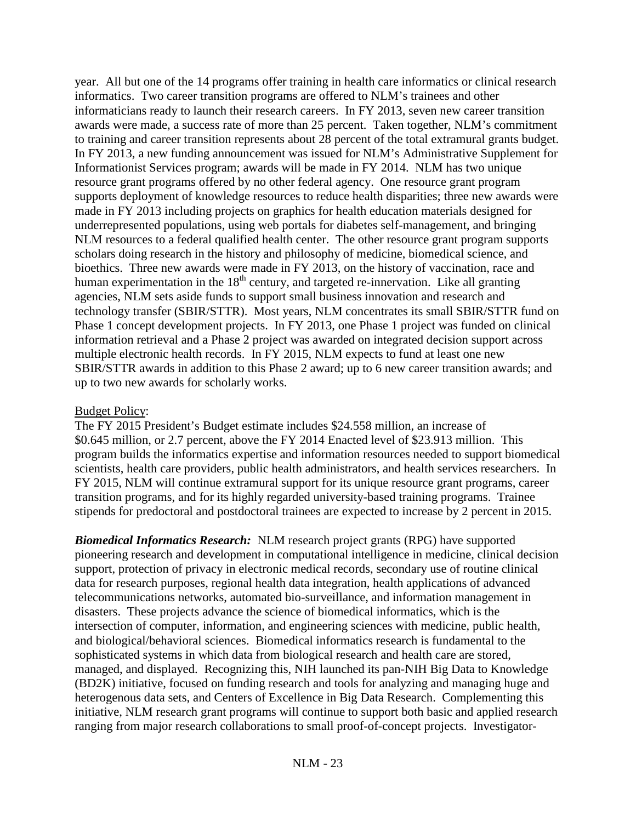year. All but one of the 14 programs offer training in health care informatics or clinical research informatics. Two career transition programs are offered to NLM's trainees and other informaticians ready to launch their research careers. In FY 2013, seven new career transition awards were made, a success rate of more than 25 percent. Taken together, NLM's commitment to training and career transition represents about 28 percent of the total extramural grants budget. In FY 2013, a new funding announcement was issued for NLM's Administrative Supplement for Informationist Services program; awards will be made in FY 2014. NLM has two unique resource grant programs offered by no other federal agency. One resource grant program supports deployment of knowledge resources to reduce health disparities; three new awards were made in FY 2013 including projects on graphics for health education materials designed for underrepresented populations, using web portals for diabetes self-management, and bringing NLM resources to a federal qualified health center. The other resource grant program supports scholars doing research in the history and philosophy of medicine, biomedical science, and bioethics. Three new awards were made in FY 2013, on the history of vaccination, race and human experimentation in the  $18<sup>th</sup>$  century, and targeted re-innervation. Like all granting agencies, NLM sets aside funds to support small business innovation and research and technology transfer (SBIR/STTR). Most years, NLM concentrates its small SBIR/STTR fund on Phase 1 concept development projects. In FY 2013, one Phase 1 project was funded on clinical information retrieval and a Phase 2 project was awarded on integrated decision support across multiple electronic health records. In FY 2015, NLM expects to fund at least one new SBIR/STTR awards in addition to this Phase 2 award; up to 6 new career transition awards; and up to two new awards for scholarly works.

### Budget Policy:

The FY 2015 President's Budget estimate includes \$24.558 million, an increase of \$0.645 million, or 2.7 percent, above the FY 2014 Enacted level of \$23.913 million. This program builds the informatics expertise and information resources needed to support biomedical scientists, health care providers, public health administrators, and health services researchers. In FY 2015, NLM will continue extramural support for its unique resource grant programs, career transition programs, and for its highly regarded university-based training programs. Trainee stipends for predoctoral and postdoctoral trainees are expected to increase by 2 percent in 2015.

*Biomedical Informatics Research:*NLM research project grants (RPG) have supported pioneering research and development in computational intelligence in medicine, clinical decision support, protection of privacy in electronic medical records, secondary use of routine clinical data for research purposes, regional health data integration, health applications of advanced telecommunications networks, automated bio-surveillance, and information management in disasters. These projects advance the science of biomedical informatics, which is the intersection of computer, information, and engineering sciences with medicine, public health, and biological/behavioral sciences. Biomedical informatics research is fundamental to the sophisticated systems in which data from biological research and health care are stored, managed, and displayed. Recognizing this, NIH launched its pan-NIH Big Data to Knowledge (BD2K) initiative, focused on funding research and tools for analyzing and managing huge and heterogenous data sets, and Centers of Excellence in Big Data Research. Complementing this initiative, NLM research grant programs will continue to support both basic and applied research ranging from major research collaborations to small proof-of-concept projects. Investigator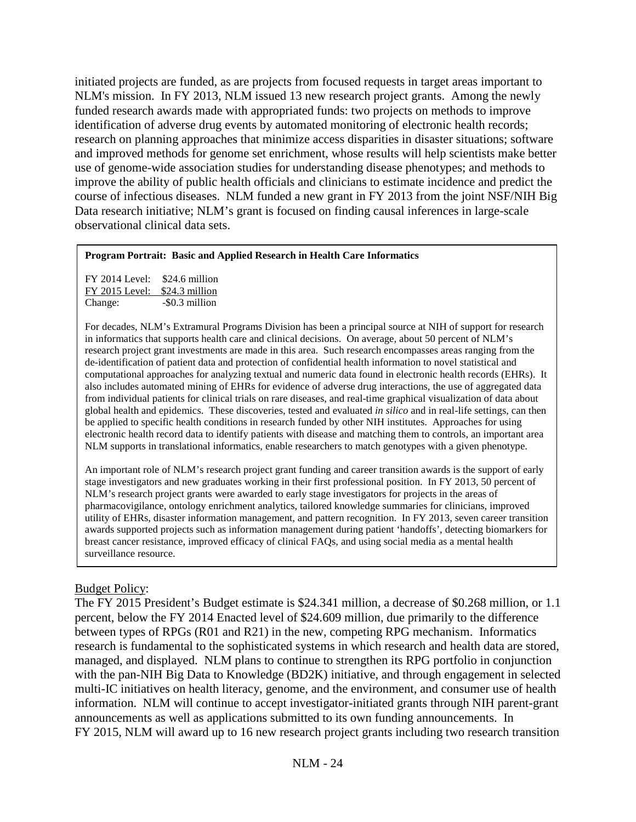initiated projects are funded, as are projects from focused requests in target areas important to NLM's mission. In FY 2013, NLM issued 13 new research project grants. Among the newly funded research awards made with appropriated funds: two projects on methods to improve identification of adverse drug events by automated monitoring of electronic health records; research on planning approaches that minimize access disparities in disaster situations; software and improved methods for genome set enrichment, whose results will help scientists make better use of genome-wide association studies for understanding disease phenotypes; and methods to improve the ability of public health officials and clinicians to estimate incidence and predict the course of infectious diseases. NLM funded a new grant in FY 2013 from the joint NSF/NIH Big Data research initiative; NLM's grant is focused on finding causal inferences in large-scale observational clinical data sets.

#### **Program Portrait: Basic and Applied Research in Health Care Informatics**

FY 2014 Level: \$24.6 million FY 2015 Level: \$24.3 million<br>Change: -\$0.3 million  $-$ \$0.3 million

For decades, NLM's Extramural Programs Division has been a principal source at NIH of support for research in informatics that supports health care and clinical decisions. On average, about 50 percent of NLM's research project grant investments are made in this area. Such research encompasses areas ranging from the de-identification of patient data and protection of confidential health information to novel statistical and computational approaches for analyzing textual and numeric data found in electronic health records (EHRs). It also includes automated mining of EHRs for evidence of adverse drug interactions, the use of aggregated data from individual patients for clinical trials on rare diseases, and real-time graphical visualization of data about global health and epidemics. These discoveries, tested and evaluated *in silico* and in real-life settings, can then be applied to specific health conditions in research funded by other NIH institutes. Approaches for using electronic health record data to identify patients with disease and matching them to controls, an important area NLM supports in translational informatics, enable researchers to match genotypes with a given phenotype.

An important role of NLM's research project grant funding and career transition awards is the support of early stage investigators and new graduates working in their first professional position. In FY 2013, 50 percent of NLM's research project grants were awarded to early stage investigators for projects in the areas of pharmacovigilance, ontology enrichment analytics, tailored knowledge summaries for clinicians, improved utility of EHRs, disaster information management, and pattern recognition. In FY 2013, seven career transition awards supported projects such as information management during patient 'handoffs', detecting biomarkers for breast cancer resistance, improved efficacy of clinical FAQs, and using social media as a mental health surveillance resource.

## Budget Policy:

The FY 2015 President's Budget estimate is \$24.341 million, a decrease of \$0.268 million, or 1.1 percent, below the FY 2014 Enacted level of \$24.609 million, due primarily to the difference between types of RPGs (R01 and R21) in the new, competing RPG mechanism. Informatics research is fundamental to the sophisticated systems in which research and health data are stored, managed, and displayed. NLM plans to continue to strengthen its RPG portfolio in conjunction with the pan-NIH Big Data to Knowledge (BD2K) initiative, and through engagement in selected multi-IC initiatives on health literacy, genome, and the environment, and consumer use of health information. NLM will continue to accept investigator-initiated grants through NIH parent-grant announcements as well as applications submitted to its own funding announcements. In FY 2015, NLM will award up to 16 new research project grants including two research transition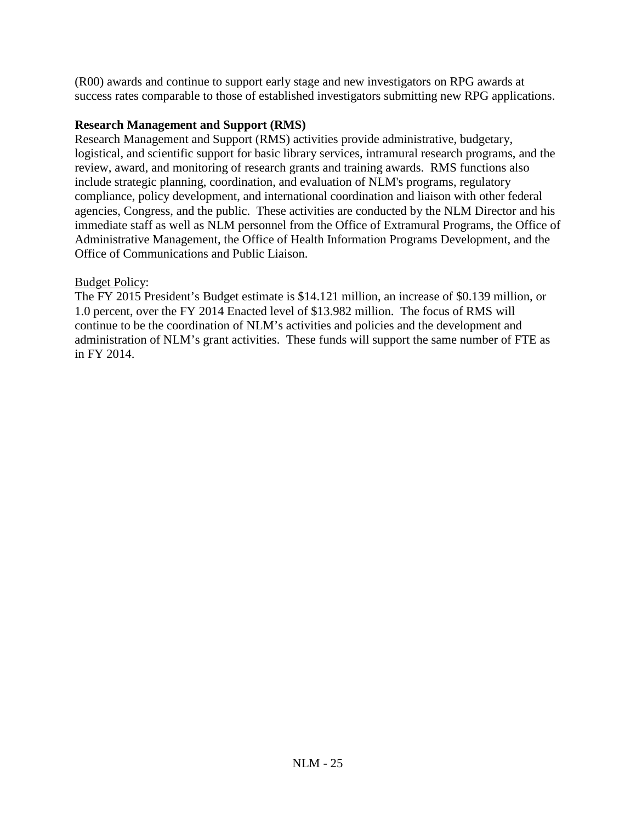(R00) awards and continue to support early stage and new investigators on RPG awards at success rates comparable to those of established investigators submitting new RPG applications.

## **Research Management and Support (RMS)**

Research Management and Support (RMS) activities provide administrative, budgetary, logistical, and scientific support for basic library services, intramural research programs, and the review, award, and monitoring of research grants and training awards. RMS functions also include strategic planning, coordination, and evaluation of NLM's programs, regulatory compliance, policy development, and international coordination and liaison with other federal agencies, Congress, and the public. These activities are conducted by the NLM Director and his immediate staff as well as NLM personnel from the Office of Extramural Programs, the Office of Administrative Management, the Office of Health Information Programs Development, and the Office of Communications and Public Liaison.

## Budget Policy:

The FY 2015 President's Budget estimate is \$14.121 million, an increase of \$0.139 million, or 1.0 percent, over the FY 2014 Enacted level of \$13.982 million. The focus of RMS will continue to be the coordination of NLM's activities and policies and the development and administration of NLM's grant activities. These funds will support the same number of FTE as in FY 2014.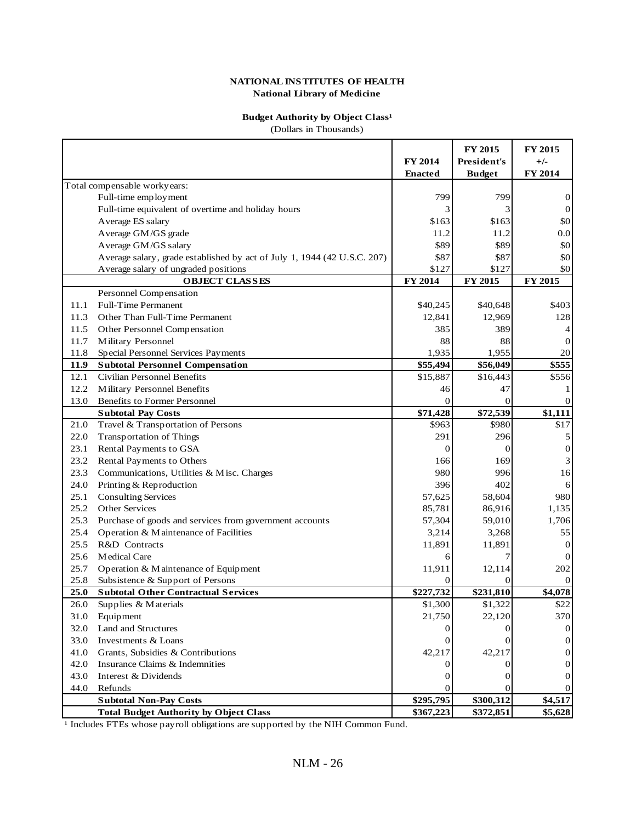#### **Budget Authority by Object Class<sup>1</sup>**

(Dollars in Thousands)

|      |                                                                          | FY 2014        | FY 2015<br>President's | FY 2015<br>$+/-$ |
|------|--------------------------------------------------------------------------|----------------|------------------------|------------------|
|      |                                                                          | <b>Enacted</b> | <b>Budget</b>          | FY 2014          |
|      | Total compensable workyears:                                             |                |                        |                  |
|      | Full-time employment                                                     | 799            | 799                    | $\vert 0 \vert$  |
|      | Full-time equivalent of overtime and holiday hours                       | 3              | 3                      | $\vert 0 \vert$  |
|      | Average ES salary                                                        | \$163          | \$163                  | 30               |
|      | Average GM/GS grade                                                      | 11.2           | 11.2                   | 0.0              |
|      | Average GM/GS salary                                                     | \$89           | \$89                   | 30               |
|      | Average salary, grade established by act of July 1, 1944 (42 U.S.C. 207) | \$87           | \$87                   | \$0              |
|      | Average salary of ungraded positions                                     | \$127          | \$127                  | \$0              |
|      | <b>OBJECT CLASSES</b>                                                    | FY 2014        | FY 2015                | FY 2015          |
|      | Personnel Compensation                                                   |                |                        |                  |
| 11.1 | <b>Full-Time Permanent</b>                                               | \$40,245       | \$40,648               | \$403            |
| 11.3 | Other Than Full-Time Permanent                                           | 12,841         | 12,969                 | 128              |
| 11.5 | Other Personnel Compensation                                             | 385            | 389                    | 4                |
| 11.7 | Military Personnel                                                       | 88             | 88                     | $\Omega$         |
| 11.8 | Special Personnel Services Payments                                      | 1,935          | 1,955                  | 20               |
| 11.9 | <b>Subtotal Personnel Compensation</b>                                   | \$55,494       | \$56,049               | \$555            |
| 12.1 | <b>Civilian Personnel Benefits</b>                                       | \$15,887       | \$16,443               | \$556            |
| 12.2 | Military Personnel Benefits                                              | 46             | 47                     |                  |
| 13.0 | <b>Benefits to Former Personnel</b>                                      | $\theta$       | $\Omega$               |                  |
|      | <b>Subtotal Pay Costs</b>                                                | \$71,428       | \$72,539               | \$1,111          |
| 21.0 | Travel & Transportation of Persons                                       | \$963          | \$980                  | \$17             |
| 22.0 | <b>Transportation of Things</b>                                          | 291            | 296                    | 5                |
| 23.1 | Rental Payments to GSA                                                   | $\overline{0}$ | $\Omega$               | 0                |
| 23.2 | Rental Payments to Others                                                | 166            | 169                    | 3                |
| 23.3 | Communications, Utilities & Misc. Charges                                | 980            | 996                    | 16               |
| 24.0 | Printing & Reproduction                                                  | 396            | 402                    | 6                |
| 25.1 | <b>Consulting Services</b>                                               | 57,625         | 58,604                 | 980              |
| 25.2 | Other Services                                                           | 85,781         | 86,916                 | 1,135            |
| 25.3 | Purchase of goods and services from government accounts                  | 57,304         | 59,010                 | 1,706            |
| 25.4 | Operation & Maintenance of Facilities                                    | 3,214          | 3,268                  | 55               |
| 25.5 | R&D Contracts                                                            | 11,891         | 11,891                 | 0                |
| 25.6 | Medical Care                                                             | 6              |                        | $\theta$         |
| 25.7 | Operation & Maintenance of Equipment                                     | 11,911         | 12,114                 | 202              |
| 25.8 | Subsistence & Support of Persons                                         | $\Omega$       | $\Omega$               | $\Omega$         |
| 25.0 | <b>Subtotal Other Contractual Services</b>                               | \$227,732      | \$231,810              | \$4,078          |
| 26.0 | Supplies & Materials                                                     | \$1,300        | \$1,322                | \$22             |
| 31.0 | Equipment                                                                | 21,750         | 22,120                 | 370              |
| 32.0 | Land and Structures                                                      | 0              | $\Omega$               | 0                |
| 33.0 | Investments & Loans                                                      | 0              | $\Omega$               | 0                |
| 41.0 | Grants, Subsidies & Contributions                                        | 42,217         | 42,217                 | 0                |
| 42.0 | Insurance Claims & Indemnities                                           | $\theta$       | $\Omega$               | 0                |
| 43.0 | Interest & Dividends                                                     | 0              | 0                      |                  |
| 44.0 | Refunds                                                                  | 0              |                        |                  |
|      | <b>Subtotal Non-Pay Costs</b>                                            | \$295,795      | \$300,312              | \$4,517          |
|      | <b>Total Budget Authority by Object Class</b>                            | \$367,223      | \$372,851              | \$5,628          |

<sup>1</sup> Includes FTEs whose payroll obligations are supported by the NIH Common Fund.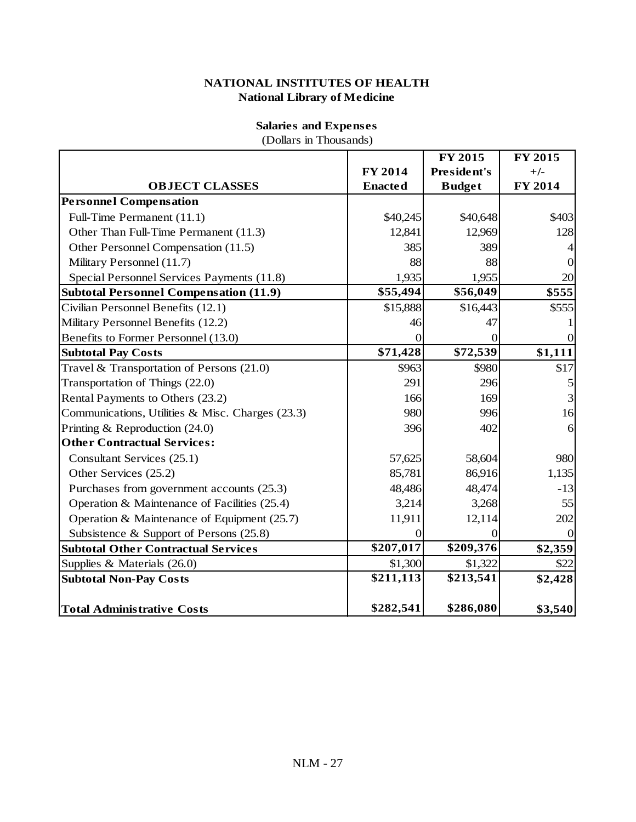|                                                  |                | FY 2015       | FY 2015        |
|--------------------------------------------------|----------------|---------------|----------------|
|                                                  | FY 2014        | President's   | $+/-$          |
| <b>OBJECT CLASSES</b>                            | <b>Enacted</b> | <b>Budget</b> | FY 2014        |
| <b>Personnel Compensation</b>                    |                |               |                |
| Full-Time Permanent (11.1)                       | \$40,245       | \$40,648      | \$403          |
| Other Than Full-Time Permanent (11.3)            | 12,841         | 12,969        | 128            |
| Other Personnel Compensation (11.5)              | 385            | 389           | $\overline{4}$ |
| Military Personnel (11.7)                        | 88             | 88            | $\overline{0}$ |
| Special Personnel Services Payments (11.8)       | 1,935          | 1,955         | 20             |
| <b>Subtotal Personnel Compensation (11.9)</b>    | \$55,494       | \$56,049      | \$555          |
| Civilian Personnel Benefits (12.1)               | \$15,888       | \$16,443      | \$555          |
| Military Personnel Benefits (12.2)               | 46             | 47            | 1              |
| Benefits to Former Personnel (13.0)              | $\overline{0}$ | $\theta$      | $\overline{0}$ |
| <b>Subtotal Pay Costs</b>                        | \$71,428       | \$72,539      | \$1,111        |
| Travel & Transportation of Persons $(21.0)$      | \$963          | \$980         | \$17           |
| Transportation of Things (22.0)                  | 291            | 296           | 5              |
| Rental Payments to Others (23.2)                 | 166            | 169           | 3              |
| Communications, Utilities & Misc. Charges (23.3) | 980            | 996           | 16             |
| Printing & Reproduction (24.0)                   | 396            | 402           | 6              |
| <b>Other Contractual Services:</b>               |                |               |                |
| Consultant Services (25.1)                       | 57,625         | 58,604        | 980            |
| Other Services (25.2)                            | 85,781         | 86,916        | 1,135          |
| Purchases from government accounts (25.3)        | 48,486         | 48,474        | $-13$          |
| Operation & Maintenance of Facilities (25.4)     | 3,214          | 3,268         | 55             |
| Operation & Maintenance of Equipment (25.7)      | 11,911         | 12,114        | 202            |
| Subsistence & Support of Persons $(25.8)$        | $\Omega$       | $\Omega$      | $\overline{0}$ |
| <b>Subtotal Other Contractual Services</b>       | \$207,017      | \$209,376     | \$2,359        |
| Supplies & Materials $(26.0)$                    | \$1,300        | \$1,322       | \$22           |
| <b>Subtotal Non-Pay Costs</b>                    | \$211,113      | \$213,541     | \$2,428        |
| <b>Total Administrative Costs</b>                | \$282,541      | \$286,080     | \$3,540        |

(Dollars in Thousands)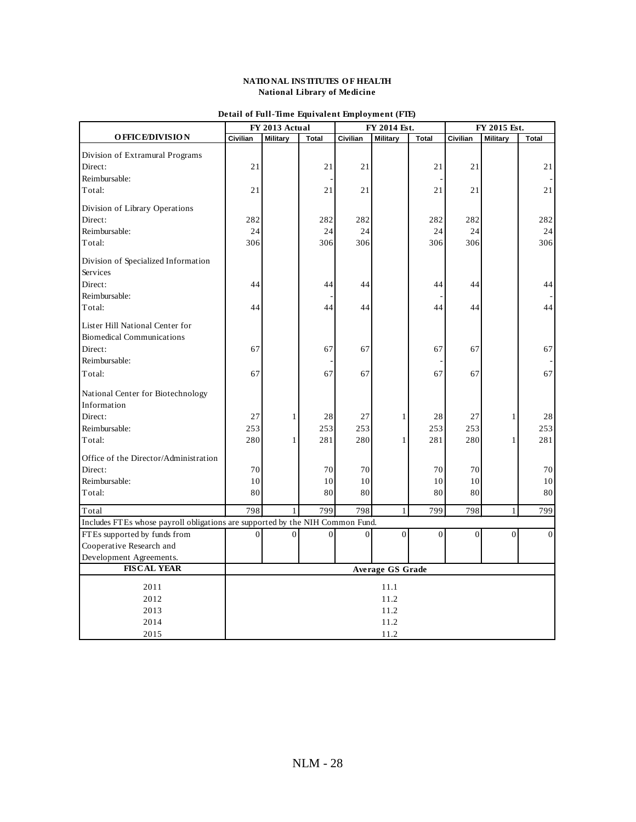|                                                                               | FY 2014 Est.<br>FY 2013 Actual |                 |                | FY 2015 Est.   |                 |                |                |                 |                |
|-------------------------------------------------------------------------------|--------------------------------|-----------------|----------------|----------------|-----------------|----------------|----------------|-----------------|----------------|
| <b>OFFICE/DIVISION</b>                                                        | Civilian                       | <b>Military</b> | Total          | Civilian       | <b>Military</b> | Total          | Civilian       | <b>Military</b> | <b>Total</b>   |
| Division of Extramural Programs                                               |                                |                 |                |                |                 |                |                |                 |                |
| Direct:                                                                       | 21                             |                 | 21             | 21             |                 | 21             | 21             |                 | 21             |
| Reimbursable:                                                                 |                                |                 |                |                |                 |                |                |                 |                |
| Total:                                                                        | 21                             |                 | 21             | 21             |                 | 21             | 21             |                 | 21             |
| Division of Library Operations                                                |                                |                 |                |                |                 |                |                |                 |                |
| Direct:                                                                       | 282                            |                 | 282            | 282            |                 | 282            | 282            |                 | 282            |
| Reimbursable:                                                                 | 24                             |                 | 24             | 24             |                 | 24             | 24             |                 | 24             |
| Total:                                                                        | 306                            |                 | 306            | 306            |                 | 306            | 306            |                 | 306            |
|                                                                               |                                |                 |                |                |                 |                |                |                 |                |
| Division of Specialized Information<br>Services                               |                                |                 |                |                |                 |                |                |                 |                |
| Direct:                                                                       | 44                             |                 | 44             | 44             |                 | 44             | 44             |                 | 44             |
| Reimbursable:                                                                 |                                |                 |                |                |                 |                |                |                 |                |
| Total:                                                                        | 44                             |                 | 44             | 44             |                 | 44             | 44             |                 | 44             |
| Lister Hill National Center for                                               |                                |                 |                |                |                 |                |                |                 |                |
| <b>Biomedical Communications</b>                                              |                                |                 |                |                |                 |                |                |                 |                |
| Direct:                                                                       | 67                             |                 | 67             | 67             |                 | 67             | 67             |                 | 67             |
| Reimbursable:                                                                 |                                |                 |                |                |                 |                |                |                 |                |
| Total:                                                                        | 67                             |                 | 67             | 67             |                 | 67             | 67             |                 | 67             |
| National Center for Biotechnology                                             |                                |                 |                |                |                 |                |                |                 |                |
| Information                                                                   |                                |                 |                |                |                 |                |                |                 |                |
| Direct:                                                                       | 27                             | 1               | 28             | 27             | $\mathbf{1}$    | 28             | 27             | $\mathbf{1}$    | 28             |
| Reimbursable:                                                                 | 253                            |                 | 253            | 253            |                 | 253            | 253            |                 | 253            |
| Total:                                                                        | 280                            | 1               | 281            | 280            | $\mathbf{1}$    | 281            | 280            | 1               | 281            |
| Office of the Director/Administration                                         |                                |                 |                |                |                 |                |                |                 |                |
| Direct:                                                                       | 70                             |                 | 70             | 70             |                 | 70             | 70             |                 | 70             |
| Reimbursable:                                                                 | 10                             |                 | 10             | 10             |                 | 10             | 10             |                 | 10             |
| Total:                                                                        | 80                             |                 | 80             | 80             |                 | 80             | 80             |                 | 80             |
| Total                                                                         | 798                            | 1               | 799            | 798            | $\mathbf{1}$    | 799            | 798            | $\mathbf{1}$    | 799            |
| Includes FTEs whose payroll obligations are supported by the NIH Common Fund. |                                |                 |                |                |                 |                |                |                 |                |
| FTEs supported by funds from                                                  | $\overline{0}$                 | $\overline{0}$  | $\overline{0}$ | $\overline{0}$ | $\overline{0}$  | $\overline{0}$ | $\overline{0}$ | $\overline{0}$  | $\overline{0}$ |
| Cooperative Research and                                                      |                                |                 |                |                |                 |                |                |                 |                |
| Development Agreements.                                                       |                                |                 |                |                |                 |                |                |                 |                |
| <b>FISCAL YEAR</b>                                                            | <b>Average GS Grade</b>        |                 |                |                |                 |                |                |                 |                |
| 2011                                                                          | 11.1                           |                 |                |                |                 |                |                |                 |                |
| 2012                                                                          | 11.2                           |                 |                |                |                 |                |                |                 |                |
| 2013                                                                          | 11.2                           |                 |                |                |                 |                |                |                 |                |
| 2014                                                                          |                                | 11.2            |                |                |                 |                |                |                 |                |
| 2015                                                                          |                                |                 |                |                | 11.2            |                |                |                 |                |
|                                                                               |                                |                 |                |                |                 |                |                |                 |                |

### **Detail of Full-Time Equivalent Employment (FTE)**